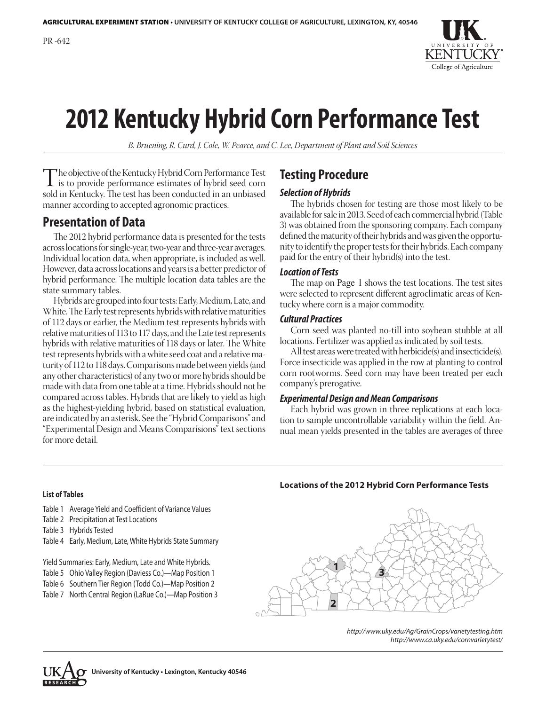

# **2012 Kentucky Hybrid Corn Performance Test**

*B. Bruening, R. Curd, J. Cole, W. Pearce, and C. Lee, Department of Plant and Soil Sciences*

The objective of the Kentucky Hybrid Corn Performance Test<br>is to provide performance estimates of hybrid seed corn<br>sold in Kentucky. The test has been conducted in an unbiased sold in Kentucky. The test has been conducted in an unbiased manner according to accepted agronomic practices.

# **Presentation of Data**

The 2012 hybrid performance data is presented for the tests across locations for single-year, two-year and three-year averages. Individual location data, when appropriate, is included as well. However, data across locations and years is a better predictor of hybrid performance. The multiple location data tables are the state summary tables.

Hybrids are grouped into four tests: Early, Medium, Late, and White. The Early test represents hybrids with relative maturities of 112 days or earlier, the Medium test represents hybrids with relative maturities of 113 to 117 days, and the Late test represents hybrids with relative maturities of 118 days or later. The White test represents hybrids with a white seed coat and a relative maturity of 112 to 118 days. Comparisons made between yields (and any other characteristics) of any two or more hybrids should be made with data from one table at a time. Hybrids should not be compared across tables. Hybrids that are likely to yield as high as the highest-yielding hybrid, based on statistical evaluation, are indicated by an asterisk. See the "Hybrid Comparisons" and "Experimental Design and Means Comparisions" text sections for more detail.

# **Testing Procedure**

#### *Selection of Hybrids*

The hybrids chosen for testing are those most likely to be available for sale in 2013. Seed of each commercial hybrid (Table 3) was obtained from the sponsoring company. Each company defined the maturity of their hybrids and was given the opportunity to identify the proper tests for their hybrids. Each company paid for the entry of their hybrid(s) into the test.

#### *Location of Tests*

The map on Page 1 shows the test locations. The test sites were selected to represent different agroclimatic areas of Kentucky where corn is a major commodity.

#### *Cultural Practices*

Corn seed was planted no-till into soybean stubble at all locations. Fertilizer was applied as indicated by soil tests.

All test areas were treated with herbicide(s) and insecticide(s). Force insecticide was applied in the row at planting to control corn rootworms. Seed corn may have been treated per each company's prerogative.

#### *Experimental Design and Mean Comparisons*

Each hybrid was grown in three replications at each location to sample uncontrollable variability within the field. Annual mean yields presented in the tables are averages of three

#### **List of Tables**

- Table 1 Average Yield and Coefficient of Variance Values
- Table 2 Precipitation at Test Locations
- Table 3 Hybrids Tested
- Table 4 Early, Medium, Late, White Hybrids State Summary

Yield Summaries: Early, Medium, Late and White Hybrids.

- Table 5 Ohio Valley Region (Daviess Co.)—Map Position 1
- Table 6 Southern Tier Region (Todd Co.)—Map Position 2
- Table 7 North Central Region (LaRue Co.)—Map Position 3

#### **Locations of the 2012 Hybrid Corn Performance Tests**



*http://www.uky.edu/Ag/GrainCrops/varietytesting.htm http://www.ca.uky.edu/cornvarietytest/*

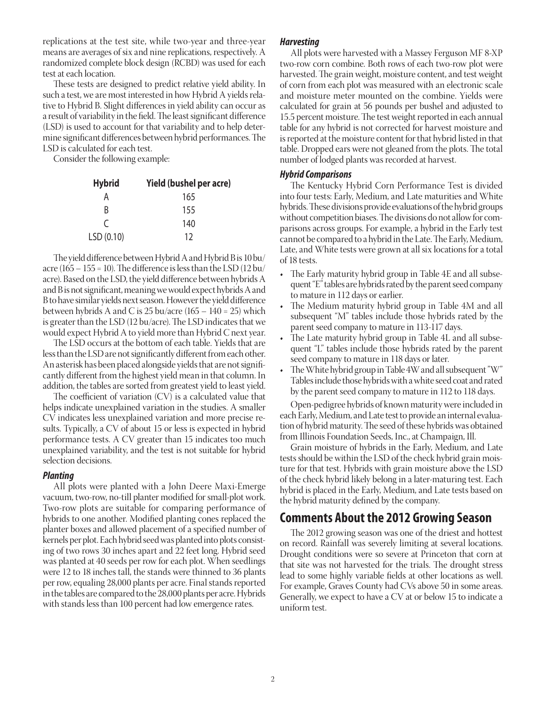replications at the test site, while two-year and three-year means are averages of six and nine replications, respectively. A randomized complete block design (RCBD) was used for each test at each location.

These tests are designed to predict relative yield ability. In such a test, we are most interested in how Hybrid A yields relative to Hybrid B. Slight differences in yield ability can occur as a result of variability in the field. The least significant difference (LSD) is used to account for that variability and to help determine significant differences between hybrid performances. The LSD is calculated for each test.

Consider the following example:

| <b>Hybrid</b> | <b>Yield (bushel per acre)</b> |
|---------------|--------------------------------|
| А             | 165                            |
| R             | 155                            |
| C             | 140                            |
| LSD(0.10)     | 12                             |

The yield difference between Hybrid A and Hybrid B is 10 bu/ acre (165 – 155 = 10). The difference is less than the LSD (12 bu/ acre). Based on the LSD, the yield difference between hybrids A and B is not significant, meaning we would expect hybrids A and B to have similar yields next season. However the yield difference between hybrids A and C is  $25$  bu/acre (165 – 140 = 25) which is greater than the LSD (12 bu/acre). The LSD indicates that we would expect Hybrid A to yield more than Hybrid C next year.

The LSD occurs at the bottom of each table. Yields that are less than the LSD are not significantly different from each other. An asterisk has been placed alongside yields that are not significantly different from the highest yield mean in that column. In addition, the tables are sorted from greatest yield to least yield.

The coefficient of variation (CV) is a calculated value that helps indicate unexplained variation in the studies. A smaller CV indicates less unexplained variation and more precise results. Typically, a CV of about 15 or less is expected in hybrid performance tests. A CV greater than 15 indicates too much unexplained variability, and the test is not suitable for hybrid selection decisions.

#### *Planting*

All plots were planted with a John Deere Maxi-Emerge vacuum, two-row, no-till planter modified for small-plot work. Two-row plots are suitable for comparing performance of hybrids to one another. Modified planting cones replaced the planter boxes and allowed placement of a specified number of kernels per plot. Each hybrid seed was planted into plots consisting of two rows 30 inches apart and 22 feet long. Hybrid seed was planted at 40 seeds per row for each plot. When seedlings were 12 to 18 inches tall, the stands were thinned to 36 plants per row, equaling 28,000 plants per acre. Final stands reported in the tables are compared to the 28,000 plants per acre. Hybrids with stands less than 100 percent had low emergence rates.

#### *Harvesting*

All plots were harvested with a Massey Ferguson MF 8-XP two-row corn combine. Both rows of each two-row plot were harvested. The grain weight, moisture content, and test weight of corn from each plot was measured with an electronic scale and moisture meter mounted on the combine. Yields were calculated for grain at 56 pounds per bushel and adjusted to 15.5 percent moisture. The test weight reported in each annual table for any hybrid is not corrected for harvest moisture and is reported at the moisture content for that hybrid listed in that table. Dropped ears were not gleaned from the plots. The total number of lodged plants was recorded at harvest.

#### *Hybrid Comparisons*

The Kentucky Hybrid Corn Performance Test is divided into four tests: Early, Medium, and Late maturities and White hybrids. These divisions provide evaluations of the hybrid groups without competition biases. The divisions do not allow for comparisons across groups. For example, a hybrid in the Early test cannot be compared to a hybrid in the Late. The Early, Medium, Late, and White tests were grown at all six locations for a total of 18 tests.

- The Early maturity hybrid group in Table 4E and all subsequent "E" tables are hybrids rated by the parent seed company to mature in 112 days or earlier.
- The Medium maturity hybrid group in Table 4M and all subsequent "M" tables include those hybrids rated by the parent seed company to mature in 113-117 days.
- The Late maturity hybrid group in Table 4L and all subsequent "L" tables include those hybrids rated by the parent seed company to mature in 118 days or later.
- • The White hybrid group in Table 4W and all subsequent "W" Tables include those hybrids with a white seed coat and rated by the parent seed company to mature in 112 to 118 days.

Open-pedigree hybrids of known maturity were included in each Early, Medium, and Late test to provide an internal evaluation of hybrid maturity. The seed of these hybrids was obtained from Illinois Foundation Seeds, Inc., at Champaign, Ill.

Grain moisture of hybrids in the Early, Medium, and Late tests should be within the LSD of the check hybrid grain moisture for that test. Hybrids with grain moisture above the LSD of the check hybrid likely belong in a later-maturing test. Each hybrid is placed in the Early, Medium, and Late tests based on the hybrid maturity defined by the company.

# **Comments About the 2012 Growing Season**

The 2012 growing season was one of the driest and hottest on record. Rainfall was severely limiting at several locations. Drought conditions were so severe at Princeton that corn at that site was not harvested for the trials. The drought stress lead to some highly variable fields at other locations as well. For example, Graves County had CVs above 50 in some areas. Generally, we expect to have a CV at or below 15 to indicate a uniform test.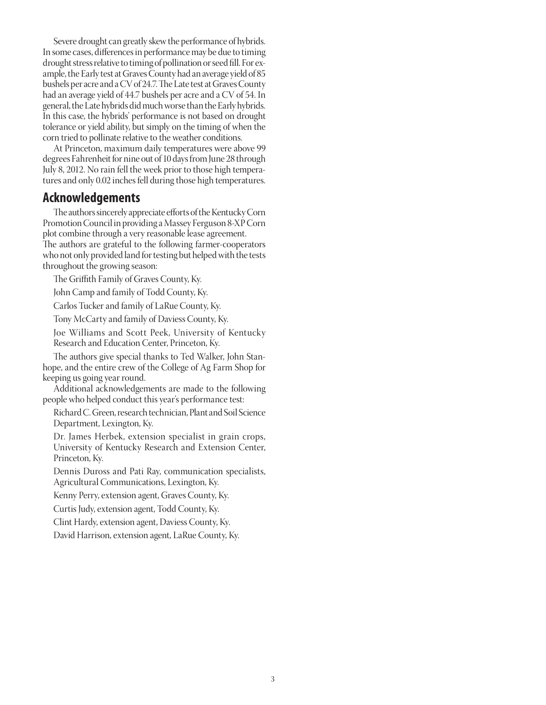Severe drought can greatly skew the performance of hybrids. In some cases, differences in performance may be due to timing drought stress relative to timing of pollination or seed fill. For example, the Early test at Graves County had an average yield of 85 bushels per acre and a CV of 24.7. The Late test at Graves County had an average yield of 44.7 bushels per acre and a CV of 54. In general, the Late hybrids did much worse than the Early hybrids. In this case, the hybrids' performance is not based on drought tolerance or yield ability, but simply on the timing of when the corn tried to pollinate relative to the weather conditions.

At Princeton, maximum daily temperatures were above 99 degrees Fahrenheit for nine out of 10 days from June 28 through July 8, 2012. No rain fell the week prior to those high temperatures and only 0.02 inches fell during those high temperatures.

## **Acknowledgements**

The authors sincerely appreciate efforts of the Kentucky Corn Promotion Council in providing a Massey Ferguson 8-XP Corn plot combine through a very reasonable lease agreement. The authors are grateful to the following farmer-cooperators who not only provided land for testing but helped with the tests throughout the growing season:

The Griffith Family of Graves County, Ky.

John Camp and family of Todd County, Ky.

Carlos Tucker and family of LaRue County, Ky.

Tony McCarty and family of Daviess County, Ky.

Joe Williams and Scott Peek, University of Kentucky Research and Education Center, Princeton, Ky.

The authors give special thanks to Ted Walker, John Stanhope, and the entire crew of the College of Ag Farm Shop for keeping us going year round.

Additional acknowledgements are made to the following people who helped conduct this year's performance test:

Richard C. Green, research technician, Plant and Soil Science Department, Lexington, Ky.

Dr. James Herbek, extension specialist in grain crops, University of Kentucky Research and Extension Center, Princeton, Ky.

Dennis Duross and Pati Ray, communication specialists, Agricultural Communications, Lexington, Ky.

Kenny Perry, extension agent, Graves County, Ky.

Curtis Judy, extension agent, Todd County, Ky.

Clint Hardy, extension agent, Daviess County, Ky.

David Harrison, extension agent, LaRue County, Ky.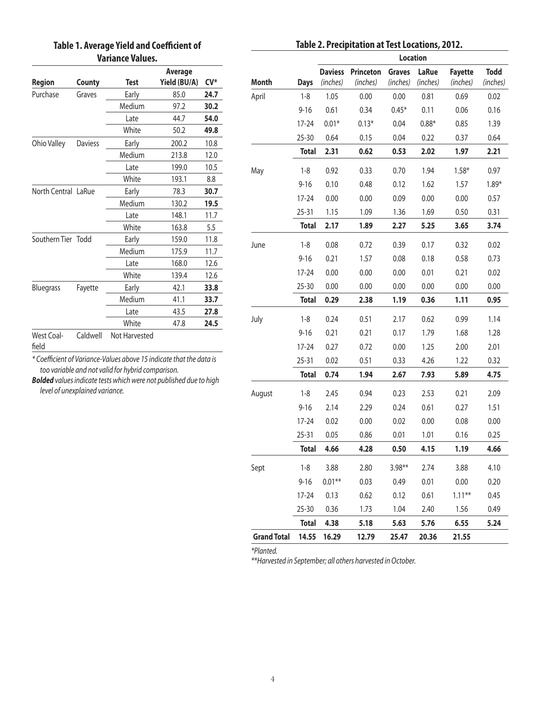## **Table 1. Average Yield and Coefficient of Variance Values.**

|  |  |  |  | Table 2. Precipitation at Test Locations, 2012. |  |
|--|--|--|--|-------------------------------------------------|--|
|--|--|--|--|-------------------------------------------------|--|

| Region              | County         | Test          | Average<br>Yield (BU/A) | $CV^*$ |
|---------------------|----------------|---------------|-------------------------|--------|
| Purchase            | Graves         | Early         | 85.0                    | 24.7   |
|                     |                | Medium        | 97.2                    | 30.2   |
|                     |                | Late          | 44.7                    | 54.0   |
|                     |                | White         | 50.2                    | 49.8   |
| Ohio Valley         | <b>Daviess</b> | Early         | 200.2                   | 10.8   |
|                     |                | Medium        | 213.8                   | 12.0   |
|                     |                | Late          | 199.0                   | 10.5   |
|                     |                | White         | 193.1                   | 8.8    |
| North Central LaRue |                | Early         | 78.3                    | 30.7   |
|                     |                | Medium        | 130.2                   | 19.5   |
|                     |                | Late          | 148.1                   | 11.7   |
|                     |                | White         | 163.8                   | 5.5    |
| Southern Tier Todd  |                | Early         | 159.0                   | 11.8   |
|                     |                | Medium        | 175.9                   | 11.7   |
|                     |                | Late          | 168.0                   | 12.6   |
|                     |                | White         | 139.4                   | 12.6   |
| Bluegrass           | Fayette        | Early         | 42.1                    | 33.8   |
|                     |                | Medium        | 41.1                    | 33.7   |
|                     |                | Late          | 43.5                    | 27.8   |
|                     |                | White         | 47.8                    | 24.5   |
| West Coal-<br>field | Caldwell       | Not Harvested |                         |        |

*\* Coefficient of Variance-Values above 15 indicate that the data is too variable and not valid for hybrid comparison.*

*Bolded values indicate tests which were not published due to high level of unexplained variance.*

|                    |              | Location       |                  |               |              |                |             |  |  |  |  |  |
|--------------------|--------------|----------------|------------------|---------------|--------------|----------------|-------------|--|--|--|--|--|
|                    |              | <b>Daviess</b> | <b>Princeton</b> | <b>Graves</b> | <b>LaRue</b> | <b>Fayette</b> | <b>Todd</b> |  |  |  |  |  |
| Month              | <b>Days</b>  | (inches)       | (inches)         | (inches)      | (inches)     | (inches)       | (inches)    |  |  |  |  |  |
| April              | $1 - 8$      | 1.05           | 0.00             | 0.00          | 0.81         | 0.69           | 0.02        |  |  |  |  |  |
|                    | $9 - 16$     | 0.61           | 0.34             | $0.45*$       | 0.11         | 0.06           | 0.16        |  |  |  |  |  |
|                    | $17 - 24$    | $0.01*$        | $0.13*$          | 0.04          | $0.88*$      | 0.85           | 1.39        |  |  |  |  |  |
|                    | 25-30        | 0.64           | 0.15             | 0.04          | 0.22         | 0.37           | 0.64        |  |  |  |  |  |
|                    | <b>Total</b> | 2.31           | 0.62             | 0.53          | 2.02         | 1.97           | 2.21        |  |  |  |  |  |
| May                | $1 - 8$      | 0.92           | 0.33             | 0.70          | 1.94         | $1.58*$        | 0.97        |  |  |  |  |  |
|                    | $9 - 16$     | 0.10           | 0.48             | 0.12          | 1.62         | 1.57           | $1.89*$     |  |  |  |  |  |
|                    | $17 - 24$    | 0.00           | 0.00             | 0.09          | 0.00         | 0.00           | 0.57        |  |  |  |  |  |
|                    | 25-31        | 1.15           | 1.09             | 1.36          | 1.69         | 0.50           | 0.31        |  |  |  |  |  |
|                    | <b>Total</b> | 2.17           | 1.89             | 2.27          | 5.25         | 3.65           | 3.74        |  |  |  |  |  |
| June               | $1 - 8$      | 0.08           | 0.72             | 0.39          | 0.17         | 0.32           | 0.02        |  |  |  |  |  |
|                    | $9 - 16$     | 0.21           | 1.57             | 0.08          | 0.18         | 0.58           | 0.73        |  |  |  |  |  |
|                    | $17 - 24$    | 0.00           | 0.00             | 0.00          | 0.01         | 0.21           | 0.02        |  |  |  |  |  |
|                    | 25-30        | 0.00           | 0.00             | 0.00          | 0.00         | 0.00           | 0.00        |  |  |  |  |  |
|                    | <b>Total</b> | 0.29           | 2.38             | 1.19          | 0.36         | 1.11           | 0.95        |  |  |  |  |  |
| July               | $1 - 8$      | 0.24           | 0.51             | 2.17          | 0.62         | 0.99           | 1.14        |  |  |  |  |  |
|                    | $9 - 16$     | 0.21           | 0.21             | 0.17          | 1.79         | 1.68           | 1.28        |  |  |  |  |  |
|                    | $17 - 24$    | 0.27           | 0.72             | 0.00          | 1.25         | 2.00           | 2.01        |  |  |  |  |  |
|                    | 25-31        | 0.02           | 0.51             | 0.33          | 4.26         | 1.22           | 0.32        |  |  |  |  |  |
|                    | <b>Total</b> | 0.74           | 1.94             | 2.67          | 7.93         | 5.89           | 4.75        |  |  |  |  |  |
| August             | $1 - 8$      | 2.45           | 0.94             | 0.23          | 2.53         | 0.21           | 2.09        |  |  |  |  |  |
|                    | $9 - 16$     | 2.14           | 2.29             | 0.24          | 0.61         | 0.27           | 1.51        |  |  |  |  |  |
|                    | $17 - 24$    | 0.02           | 0.00             | 0.02          | 0.00         | 0.08           | 0.00        |  |  |  |  |  |
|                    | $25 - 31$    | 0.05           | 0.86             | 0.01          | 1.01         | 0.16           | 0.25        |  |  |  |  |  |
|                    | <b>Total</b> | 4.66           | 4.28             | 0.50          | 4.15         | 1.19           | 4.66        |  |  |  |  |  |
| Sept               | $1 - 8$      | 3.88           | 2.80             | $3.98**$      | 2.74         | 3.88           | 4.10        |  |  |  |  |  |
|                    | $9 - 16$     | $0.01**$       | 0.03             | 0.49          | 0.01         | 0.00           | 0.20        |  |  |  |  |  |
|                    | 17-24        | 0.13           | 0.62             | 0.12          | 0.61         | $1.11***$      | 0.45        |  |  |  |  |  |
|                    | 25-30        | 0.36           | 1.73             | 1.04          | 2.40         | 1.56           | 0.49        |  |  |  |  |  |
|                    | <b>Total</b> | 4.38           | 5.18             | 5.63          | 5.76         | 6.55           | 5.24        |  |  |  |  |  |
| <b>Grand Total</b> | 14.55        | 16.29          | 12.79            | 25.47         | 20.36        | 21.55          |             |  |  |  |  |  |

*\*Planted.* 

*\*\*Harvested in September; all others harvested in October.*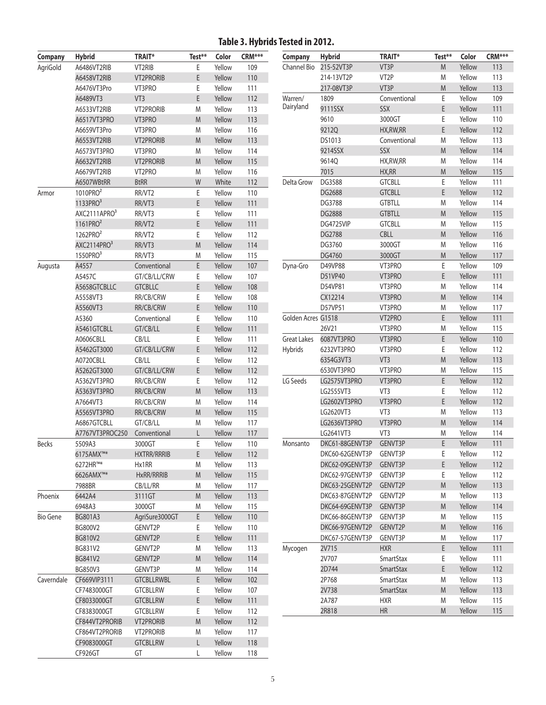# **Table 3. Hybrids Tested in 2012.**

| <b>Company</b>  | <b>Hybrid</b>         | <b>TRAIT*</b>       | Test** | Color  | CRM*** |
|-----------------|-----------------------|---------------------|--------|--------|--------|
| AgriGold        | A6486VT2RIB           | VT2RIB              | Ε      | Yellow | 109    |
|                 | A6458VT2RIB           | <b>VT2PRORIB</b>    | E      | Yellow | 110    |
|                 | A6476VT3Pro           | VT3PRO              | Ε      | Yellow | 111    |
|                 | A6489VT3              | VT <sub>3</sub>     | E      | Yellow | 112    |
|                 | A6533VT2RIB           | <b>VT2PRORIB</b>    | M      | Yellow | 113    |
|                 | A6517VT3PRO           | VT3PRO              | M      | Yellow | 113    |
|                 | A6659VT3Pro           | VT3PRO              | M      | Yellow | 116    |
|                 | A6553VT2RIB           | <b>VT2PRORIB</b>    | M      | Yellow | 113    |
|                 | A6573VT3PRO           | VT3PRO              | M      | Yellow | 114    |
|                 | A6632VT2RIB           | <b>VT2PRORIB</b>    | M      | Yellow | 115    |
|                 | A6679VT2RIB           | VT <sub>2</sub> PRO | M      | Yellow | 116    |
|                 | A6507WBtRR            | <b>BtRR</b>         | W      | White  | 112    |
| Armor           | 1010PRO <sup>2</sup>  | RR/VT2              | E      | Yellow | 110    |
|                 | 1133PRO <sup>3</sup>  | RR/VT3              | E      | Yellow | 111    |
|                 | AXC2111APRO3          | RR/VT3              | E      | Yellow | 111    |
|                 | 1161PRO <sup>2</sup>  | RR/VT2              | E      | Yellow | 111    |
|                 | 1262PRO <sup>2</sup>  | RR/VT2              | E      | Yellow | 112    |
|                 | AXC2114PRO3           | RR/VT3              | M      | Yellow | 114    |
|                 | $1550$ PRO $3$        | RR/VT3              | M      | Yellow | 115    |
| Augusta         | A4557                 | Conventional        | E      | Yellow | 107    |
|                 | A5457C                | GT/CB/LL/CRW        | E      | Yellow | 107    |
|                 | A5658GTCBLLC          | <b>GTCBLLC</b>      | E      | Yellow | 108    |
|                 | A5558VT3              | RR/CB/CRW           | Ε      | Yellow | 108    |
|                 | A5560VT3              | RR/CB/CRW           | E      | Yellow | 110    |
|                 | A5360                 | Conventional        | E      | Yellow | 110    |
|                 | A5461GTCBLL           | GT/CB/LL            | E      | Yellow | 111    |
|                 | A0606CBLL             | CB/LL               | E      | Yellow | 111    |
|                 | A5462GT3000           | GT/CB/LL/CRW        | E      | Yellow | 112    |
|                 |                       |                     |        |        |        |
|                 | A0720CBLL             | CB/LL               | E<br>E | Yellow | 112    |
|                 | A5262GT3000           | GT/CB/LL/CRW        |        | Yellow | 112    |
|                 | A5362VT3PRO           | RR/CB/CRW           | E      | Yellow | 112    |
|                 | A5363VT3PRO           | RR/CB/CRW           | M      | Yellow | 113    |
|                 | A7664VT3              | RR/CB/CRW           | M      | Yellow | 114    |
|                 | A5565VT3PRO           | RR/CB/CRW           | M      | Yellow | 115    |
|                 | A6867GTCBLL           | GT/CB/LL            | M      | Yellow | 117    |
|                 | A7767VT3PROC250       | Conventional        | L      | Yellow | 117    |
| <b>Becks</b>    | 5509A3                | 3000GT              | E      | Yellow | 110    |
|                 | 6175AMX <sup>™*</sup> | <b>HXTRR/RRRIB</b>  | E      | Yellow | 112    |
|                 | 6272HR™*              | Hx1RR               | M      | Yellow | 113    |
|                 | 6626AMX™*             | HxRR/RRRIB          | M      | Yellow | 115    |
|                 | 7988BR                | CB/LL/RR            | M      | Yellow | 117    |
| Phoenix         | 6442A4                | 3111GT              | M      | Yellow | 113    |
|                 | 6948A3                | 3000GT              | M      | Yellow | 115    |
| <b>Bio Gene</b> | BG801A3               | AgriSure3000GT      | E      | Yellow | 110    |
|                 | BG800V2               | GENVT2P             | E      | Yellow | 110    |
|                 | <b>BG810V2</b>        | GENVT2P             | E      | Yellow | 111    |
|                 | BG831V2               | GENVT2P             | Μ      | Yellow | 113    |
|                 | BG841V2               | GENVT2P             | M      | Yellow | 114    |
|                 | BG850V3               | GENVT3P             | M      | Yellow | 114    |
| Caverndale      | CF669VIP3111          | <b>GTCBLLRWBL</b>   | E      | Yellow | 102    |
|                 | CF7483000GT           | <b>GTCBLLRW</b>     | Ε      | Yellow | 107    |
|                 | CF8033000GT           | <b>GTCBLLRW</b>     | E      | Yellow | 111    |
|                 | CF8383000GT           | <b>GTCBLLRW</b>     | Ε      | Yellow | 112    |
|                 | CF844VT2PRORIB        | <b>VT2PRORIB</b>    | M      | Yellow | 112    |
|                 | CF864VT2PRORIB        | VT2PRORIB           | M      | Yellow | 117    |
|                 | CF9083000GT           | <b>GTCBLLRW</b>     | L      | Yellow | 118    |
|                 | CF926GT               | GT                  | L      | Yellow | 118    |

| <b>Company</b>     | <b>Hybrid</b>   | <b>TRAIT*</b>     | Test** | Color  | CRM*** |
|--------------------|-----------------|-------------------|--------|--------|--------|
| Channel Bio        | 215-52VT3P      | VT3P              | M      | Yellow | 113    |
|                    | 214-13VT2P      | VT <sub>2</sub> P | M      | Yellow | 113    |
|                    | 217-08VT3P      | VT3P              | M      | Yellow | 113    |
| Warren/            | 1809            | Conventional      | Ε      | Yellow | 109    |
| Dairyland          | 9111SSX         | <b>SSX</b>        | E      | Yellow | 111    |
|                    | 9610            | 3000GT            | E      | Yellow | 110    |
|                    | 9212Q           | HX, RW, RR        | E      | Yellow | 112    |
|                    | DS1013          | Conventional      | M      | Yellow | 113    |
|                    | 9214SSX         | <b>SSX</b>        | M      | Yellow | 114    |
|                    | 9614Q           | HX, RW, RR        | M      | Yellow | 114    |
|                    | 7015            | HX,RR             | M      | Yellow | 115    |
| Delta Grow         | DG3588          | <b>GTCBLL</b>     | E      | Yellow | 111    |
|                    | DG2688          | <b>GTCBLL</b>     | E      | Yellow | 112    |
|                    | DG3788          | <b>GTBTLL</b>     | M      | Yellow | 114    |
|                    | <b>DG2888</b>   | <b>GTBTLL</b>     | M      | Yellow | 115    |
|                    | DG4725VIP       | <b>GTCBLL</b>     | M      | Yellow | 115    |
|                    | <b>DG2788</b>   | <b>CBLL</b>       | M      | Yellow | 116    |
|                    | DG3760          | 3000GT            | M      | Yellow | 116    |
|                    | DG4760          | 3000GT            | M      | Yellow | 117    |
| Dyna-Gro           | D49VP88         | VT3PRO            | E      | Yellow | 109    |
|                    | D51VP40         | VT3PRO            | E      | Yellow | 111    |
|                    | D54VP81         | VT3PRO            | M      | Yellow | 114    |
|                    | CX12214         | VT3PRO            | M      | Yellow | 114    |
|                    | D57VP51         | VT3PRO            | Μ      | Yellow | 117    |
| Golden Acres G1518 |                 | VT2PRO            | E      | Yellow | 111    |
|                    | 26V21           | VT3PRO            | Μ      | Yellow | 115    |
| <b>Great Lakes</b> | 6087VT3PRO      | VT3PRO            | E      | Yellow | 110    |
| Hybrids            | 6232VT3PRO      | VT3PRO            | E      | Yellow | 112    |
|                    | 6354G3VT3       | VT3               | M      | Yellow | 113    |
|                    | 6530VT3PRO      | VT3PRO            | Μ      | Yellow | 115    |
| LG Seeds           | LG2575VT3PRO    | VT3PRO            | E      | Yellow | 112    |
|                    | LG2555VT3       | VT3               | E      | Yellow | 112    |
|                    | LG2602VT3PRO    | VT3PRO            | E      | Yellow | 112    |
|                    | LG2620VT3       | VT3               | M      | Yellow | 113    |
|                    | LG2636VT3PRO    | VT3PRO            | M      | Yellow | 114    |
|                    | LG2641VT3       | VT3               | Μ      | Yellow | 114    |
| Monsanto           | DKC61-88GENVT3P | GENVT3P           | E      | Yellow | 111    |
|                    | DKC60-62GENVT3P | GENVT3P           | Ε      | Yellow | 112    |
|                    | DKC62-09GENVT3P | GENVT3P           | E      | Yellow | 112    |
|                    | DKC62-97GENVT3P | GENVT3P           | Ε      | Yellow | 112    |
|                    | DKC63-25GENVT2P | GENVT2P           | M      | Yellow | 113    |
|                    | DKC63-87GENVT2P | GENVT2P           | M      | Yellow | 113    |
|                    | DKC64-69GENVT3P | GENVT3P           | M      | Yellow | 114    |
|                    | DKC66-86GENVT3P | GENVT3P           | M      | Yellow | 115    |
|                    | DKC66-97GENVT2P | GENVT2P           | M      | Yellow | 116    |
|                    | DKC67-57GENVT3P | GENVT3P           | M      | Yellow | 117    |
| Mycogen            | 2V715           | <b>HXR</b>        | E      | Yellow | 111    |
|                    | 2V707           | <b>SmartStax</b>  | Ε      | Yellow | 111    |
|                    | 2D744           | <b>SmartStax</b>  | E      | Yellow | 112    |
|                    | 2P768           | <b>SmartStax</b>  | Μ      | Yellow | 113    |
|                    | 2V738           | <b>SmartStax</b>  | M      | Yellow | 113    |
|                    | 2A787           | <b>HXR</b>        | Μ      | Yellow | 115    |
|                    | 2R818           | HR                | M      | Yellow | 115    |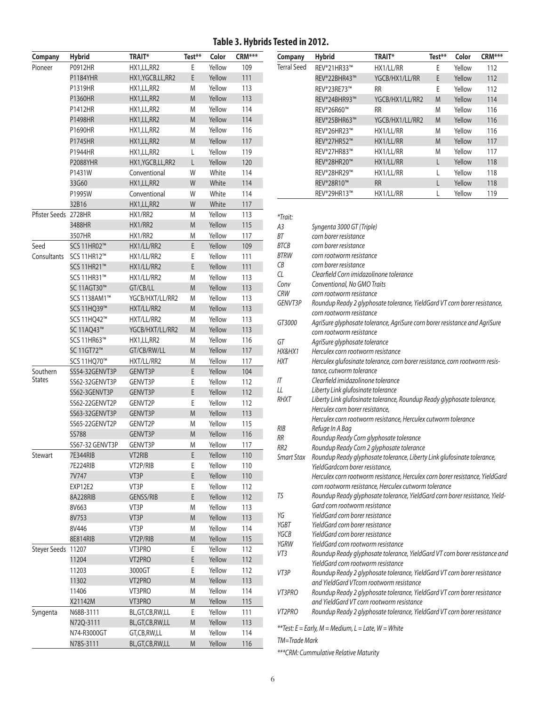#### **Table 3. Hybrids Tested in 2012.**

| <b>Company</b>            | <b>Hybrid</b>   | <b>TRAIT*</b>      | Test**    | Color            | CRM*** |
|---------------------------|-----------------|--------------------|-----------|------------------|--------|
| Pioneer                   | P0912HR         | HX1,LL,RR2         | E         | Yellow           | 109    |
|                           | P1184YHR        | HX1, YGCB, LL, RR2 | E         | Yellow           | 111    |
|                           | P1319HR         | HX1,LL,RR2         | M         | Yellow           | 113    |
|                           | P1360HR         | HX1, LL, RR2       | M         | Yellow           | 113    |
|                           | P1412HR         | HX1,LL,RR2         | M         | Yellow           | 114    |
|                           | P1498HR         | HX1, LL, RR2       | M         | Yellow           | 114    |
|                           | P1690HR         | HX1, LL, RR2       | M         | Yellow           | 116    |
|                           | P1745HR         | HX1, LL, RR2       | M         | Yellow           | 117    |
|                           | P1944HR         | HX1,LL,RR2         | Г         | Yellow           | 119    |
|                           | <b>P2088YHR</b> | HX1, YGCB, LL, RR2 | L         | Yellow           | 120    |
|                           | P1431W          | Conventional       | W         | White            | 114    |
|                           | 33G60           | HX1, LL, RR2       | W         | White            | 114    |
|                           | P1995W          | Conventional       | W         | White            | 114    |
|                           | 32B16           | HX1, LL, RR2       | W         | White            | 117    |
| Pfister Seeds 2728HR      |                 | HX1/RR2            | M         | Yellow           | 113    |
|                           | 3488HR          | HX1/RR2            | M         | Yellow           | 115    |
|                           | 3507HR          | HX1/RR2            | M         | Yellow           | 117    |
| Seed                      | SCS 11HR02™     | HX1/LL/RR2         | E         | Yellow           | 109    |
| Consultants               | SCS 11HR12™     | HX1/LL/RR2         | E         | Yellow           | 111    |
|                           | SCS 11HR21™     | HX1/LL/RR2         | E         | Yellow           | 111    |
|                           | SCS 11HR31™     | HX1/LL/RR2         | M         | Yellow           | 113    |
|                           | SC 11AGT30™     | GT/CB/LL           | M         | Yellow           | 113    |
|                           | SCS 1138AM1™    | YGCB/HXT/LL/RR2    | M         | Yellow           | 113    |
|                           | SCS 11HQ39™     | HXT/LL/RR2         | M         | Yellow           | 113    |
|                           | SCS 11HQ42™     | HXT/LL/RR2         | M         | Yellow           | 113    |
|                           | SC 11AQ43™      | YGCB/HXT/LL/RR2    | M         | Yellow           | 113    |
|                           | SCS 11HR63™     | HX1,LL,RR2         | M         | Yellow           | 116    |
|                           | SC 11GT72™      | GT/CB/RW/LL        | M         | Yellow           | 117    |
|                           | SCS 11HQ70™     | HXT/LL/RR2         | M         | Yellow           | 117    |
| Southern<br><b>States</b> | SS54-32GENVT3P  | GENVT3P            | E         | Yellow           | 104    |
|                           | SS62-32GENVT3P  | GENVT3P            | E         | Yellow           | 112    |
|                           | SS62-3GENVT3P   | GENVT3P            | E         | Yellow           | 112    |
|                           | SS62-22GENVT2P  | GENVT2P            | E         | Yellow           | 112    |
|                           | SS63-32GENVT3P  | GENVT3P            | M         | Yellow           | 113    |
|                           | SS65-22GENVT2P  | GENVT2P            | M         | Yellow           | 115    |
|                           | <b>SS788</b>    | GENVT3P            | M         | Yellow           | 116    |
|                           | SS67-32 GENVT3P | GENVT3P            | M         | Yellow           | 117    |
| Stewart                   | 7E344RIB        | VT2RIB             | E         | Yellow           | 110    |
|                           | 7E224RIB        | VT2P/RIB           | Ε         | Yellow           | 110    |
|                           | 7V747           | VT3P<br>VT3P       | E         | Yellow           | 110    |
|                           | EXP12E2         |                    | Ε         | Yellow           | 112    |
|                           | 8A228RIB        | <b>GENSS/RIB</b>   | E         | Yellow           | 112    |
|                           | 8V663           | VT3P               | M         | Yellow           | 113    |
|                           | 8V753           | VT3P               | M         | Yellow           | 113    |
|                           | 8V446           | VT3P               | M         | Yellow           | 114    |
|                           | 8E814RIB        | VT2P/RIB           | M         | Yellow           | 115    |
| <b>Steyer Seeds</b>       | 11207           | VT3PRO             | E<br>E    | Yellow<br>Yellow | 112    |
|                           | 11204           | VT2PRO             |           |                  | 112    |
|                           | 11203           | 3000GT             | E         | Yellow           | 112    |
|                           | 11302           | VT2PRO             | M         | Yellow           | 113    |
|                           | 11406           | VT3PRO             | M         | Yellow           | 114    |
|                           | X21142M         | VT3PRO             | M         | Yellow           | 115    |
| Syngenta                  | N68B-3111       | BL,GT,CB,RW,LL     | Ε         | Yellow           | 111    |
|                           | N72Q-3111       | BL,GT,CB,RW,LL     | M         | Yellow           | 113    |
|                           | N74-R3000GT     | GT,CB,RW,LL        | M         | Yellow           | 114    |
|                           | N78S-3111       | BL,GT,CB,RW,LL     | ${\sf M}$ | Yellow           | 116    |

| Company     | <b>Hybrid</b>           | <b>TRAIT*</b>   | Test** | Color  | CRM*** |
|-------------|-------------------------|-----------------|--------|--------|--------|
| Terral Seed | REV®21HR33™             | HX1/LL/RR       | E      | Yellow | 112    |
|             | REV®22BHR43™            | YGCB/HX1/LL/RR  | E      | Yellow | 112    |
|             | REV®23RE73™             | <b>RR</b>       | E      | Yellow | 112    |
|             | REV®24BHR93™            | YGCB/HX1/LL/RR2 | M      | Yellow | 114    |
|             | REV <sup>®</sup> 26R60™ | <b>RR</b>       | M      | Yellow | 116    |
|             | REV®25BHR63™            | YGCB/HX1/LL/RR2 | M      | Yellow | 116    |
|             | REV®26HR23™             | HX1/LL/RR       | M      | Yellow | 116    |
|             | REV®27HR52™             | HX1/LL/RR       | M      | Yellow | 117    |
|             | REV®27HR83™             | HX1/LL/RR       | M      | Yellow | 117    |
|             | REV®28HR20™             | HX1/LL/RR       | L      | Yellow | 118    |
|             | REV®28HR29™             | HX1/LL/RR       | L      | Yellow | 118    |
|             | <b>REV®28R10™</b>       | <b>RR</b>       | L      | Yellow | 118    |
|             | REV®29HR13™             | HX1/LL/RR       |        | Yellow | 119    |

*\*Trait: A3 Syngenta 3000 GT (Triple) BT corn borer resistance BTCB corn borer resistance BTRW corn rootworm resistance CB corn borer resistance CL Clearfield Corn imidazolinone tolerance Conv Conventional, No GMO Traits CRW corn rootworm resistance GENVT3P Roundup Ready 2 glyphosate tolerance, YieldGard VT corn borer resistance, corn rootworm resistance GT3000 AgriSure glyphosate tolerance, AgriSure corn borer resistance and AgriSure corn rootworm resistance GT AgriSure glyphosate tolerance HX&HX1 Herculex corn rootworm resistance HXT Herculex glufosinate tolerance, corn borer resistance, corn rootworm resistance, cutworm tolerance IT Clearfield imidazolinone tolerance LL Liberty Link glufosinate tolerance RHXT Liberty Link glufosinate tolerance, Roundup Ready glyphosate tolerance, Herculex corn borer resistance, Herculex corn rootworm resistance, Herculex cutworm tolerance RIB Refuge In A Bag RR Roundup Ready Corn glyphosate tolerance RR2 Roundup Ready Corn 2 glyphosate tolerance Smart Stax Roundup Ready glyphosate tolerance, Liberty Link glufosinate tolerance, YieldGardcorn borer resistance, Herculex corn rootworm resistance, Herculex corn borer resistance, YieldGard corn rootworm resistance, Herculex cutworm tolerance TS Roundup Ready glyphosate tolerance, YieldGard corn borer resistance, Yield-Gard corn rootworm resistance YG YieldGard corn borer resistance YGBT YieldGard corn borer resistance YGCB YieldGard corn borer resistance YGRW YieldGard corn rootworm resistance VT3 Roundup Ready glyphosate tolerance, YieldGard VT corn borer resistance and YieldGard corn rootworm resistance VT3P Roundup Ready 2 glyphosate tolerance, YieldGard VT corn borer resistance and YieldGard VTcorn rootworm resistance VT3PRO Roundup Ready 2 glyphosate tolerance, YieldGard VT corn borer resistance and YieldGard VT corn rootworm resistance VT2PRO Roundup Ready 2 glyphosate tolerance, YieldGard VT corn borer resistance \*\*Test: E = Early, M = Medium, L = Late, W = White*

*TM=Trade Mark*

*\*\*\*CRM: Cummulative Relative Maturity*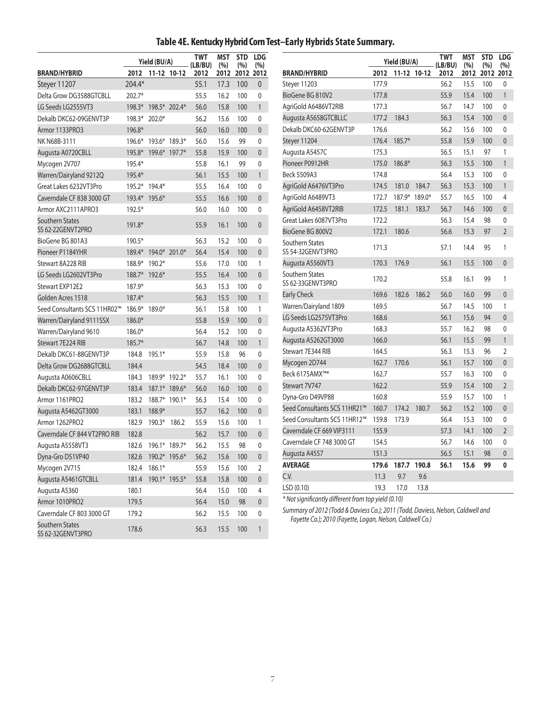# **Table 4E. Kentucky Hybrid Corn Test–Early Hybrids State Summary.**

|                                             |               | Yield (BU/A) |                     | <b>TWT</b><br>(LB/BU) | MST<br>(%) | <b>STD</b><br>(%) | <b>LDG</b><br>(%) |                                                                                 |       | Yield (BU/A)     |        | <b>TWT</b><br>(LB/BU) | <b>MST</b><br>(%) | <b>STD</b><br>(%) | <b>LDG</b><br>(%) |
|---------------------------------------------|---------------|--------------|---------------------|-----------------------|------------|-------------------|-------------------|---------------------------------------------------------------------------------|-------|------------------|--------|-----------------------|-------------------|-------------------|-------------------|
| <b>BRAND/HYBRID</b>                         | 2012          |              | 11-12 10-12         | 2012                  | 2012       |                   | 2012 2012         | <b>BRAND/HYBRID</b>                                                             |       | 2012 11-12 10-12 |        | 2012                  | 2012              | 2012 2012         |                   |
| Steyer 11207                                | 204.4*        |              |                     | 55.1                  | 17.3       | 100               | 0                 | Steyer 11203                                                                    | 177.9 |                  |        | 56.2                  | 15.5              | 100               | $\mathbf{0}$      |
| Delta Grow DG3588GTCBLL                     | 202.7*        |              |                     | 55.5                  | 16.2       | 100               | 0                 | BioGene BG 810V2                                                                | 177.8 |                  |        | 55.9                  | 15.4              | 100               | $\overline{1}$    |
| LG Seeds LG2555VT3                          | 198.3*        |              | 198.5* 202.4*       | 56.0                  | 15.8       | 100               | 1                 | AgriGold A6486VT2RIB                                                            | 177.3 |                  |        | 56.7                  | 14.7              | 100               | 0                 |
| Dekalb DKC62-09GENVT3P                      | 198.3*        | $202.0*$     |                     | 56.2                  | 15.6       | 100               | $\mathbf{0}$      | Augusta A5658GTCBLLC                                                            | 177.2 | 184.3            |        | 56.3                  | 15.4              | 100               | $\theta$          |
| Armor 1133PRO3                              | 196.8*        |              |                     | 56.0                  | 16.0       | 100               | $\mathbf{0}$      | Dekalb DKC60-62GENVT3P                                                          | 176.6 |                  |        | 56.2                  | 15.6              | 100               | $\mathbf{0}$      |
| NK N68B-3111                                | $196.6*$      |              | 193.6* 189.3*       | 56.0                  | 15.6       | 99                | 0                 | Steyer 11204                                                                    |       | 176.4 185.7*     |        | 55.8                  | 15.9              | 100               | $\mathbf{0}$      |
| Augusta A0720CBLL                           | 195.8*        |              | 199.6* 197.7*       | 55.8                  | 15.9       | 100               | $\overline{0}$    | Augusta A5457C                                                                  | 175.3 |                  |        | 56.5                  | 15.1              | 97                | $\mathbf{1}$      |
| Mycogen 2V707                               | 195.4*        |              |                     | 55.8                  | 16.1       | 99                | 0                 | Pioneer P0912HR                                                                 | 175.0 | 186.8*           |        | 56.3                  | 15.5              | 100               | $\mathbf{1}$      |
| Warren/Dairyland 9212Q                      | 195.4*        |              |                     | 56.1                  | 15.5       | 100               | 1                 | Beck 5509A3                                                                     | 174.8 |                  |        | 56.4                  | 15.3              | 100               | $\mathbf{0}$      |
| Great Lakes 6232VT3Pro                      | 195.2* 194.4* |              |                     | 55.5                  | 16.4       | 100               | $\mathbf{0}$      | AgriGold A6476VT3Pro                                                            | 174.5 | 181.0            | 184.7  | 56.3                  | 15.3              | 100               | $\overline{1}$    |
| Caverndale CF 838 3000 GT                   | 193.4*        | 195.6*       |                     | 55.5                  | 16.6       | 100               | $\overline{0}$    | AgriGold A6489VT3                                                               | 172.7 | $187.9*$         | 189.0* | 55.7                  | 16.5              | 100               | $\overline{4}$    |
| Armor AXC2111APRO3                          | $192.5*$      |              |                     | 56.0                  | 16.0       | 100               | 0                 | AgriGold A6458VT2RIB                                                            | 172.5 | 181.1            | 183.7  | 56.7                  | 14.6              | 100               | $\mathbf{0}$      |
| Southern States                             | 191.8*        |              |                     | 55.9                  | 16.1       | 100               | $\overline{0}$    | Great Lakes 6087VT3Pro                                                          | 172.2 |                  |        | 56.3                  | 15.4              | 98                | $\mathbf{0}$      |
| SS 62-22GENVT2PRO                           |               |              |                     |                       |            |                   |                   | BioGene BG 800V2                                                                | 172.1 | 180.6            |        | 56.6                  | 15.3              | 97                | $\overline{2}$    |
| BioGene BG 801A3                            | 190.5*        |              |                     | 56.3                  | 15.2       | 100               | 0                 | Southern States                                                                 | 171.3 |                  |        | 57.1                  | 14.4              | 95                | $\mathbf{1}$      |
| Pioneer P1184YHR                            | $189.4*$      |              | 194.0* 201.0*       | 56.4                  | 15.4       | 100               | $\mathbf{0}$      | SS 54-32GENVT3PRO                                                               |       |                  |        |                       |                   |                   |                   |
| Stewart 8A228 RIB                           | 188.9*        | $190.2*$     |                     | 55.6                  | 17.0       | 100               | $\mathbf{1}$      | Augusta A5560VT3                                                                | 170.3 | 176.9            |        | 56.1                  | 15.5              | 100               | $\mathbf{0}$      |
| LG Seeds LG2602VT3Pro                       | 188.7*        | 192.6*       |                     | 55.5                  | 16.4       | 100               | $\overline{0}$    | Southern States                                                                 | 170.2 |                  |        | 55.8                  | 16.1              | 99                | $\mathbf{1}$      |
| Stewart EXP12E2                             | 187.9*        |              |                     | 56.3                  | 15.3       | 100               | 0                 | SS 62-33GENVT3PRO                                                               |       |                  |        |                       |                   |                   |                   |
| Golden Acres 1518                           | $187.4*$      |              |                     | 56.3                  | 15.5       | 100               | $\mathbf{1}$      | <b>Early Check</b>                                                              | 169.6 | 182.6            | 186.2  | 56.0                  | 16.0              | 99                | $\theta$          |
| Seed Consultants SCS 11HR02™                | $186.9*$      | 189.0*       |                     | 56.1                  | 15.8       | 100               | $\mathbf{1}$      | Warren/Dairyland 1809                                                           | 169.5 |                  |        | 56.7                  | 14.5              | 100               | $\mathbf{1}$      |
| Warren/Dairyland 9111SSX                    | 186.0*        |              |                     | 55.8                  | 15.9       | 100               | $\overline{0}$    | LG Seeds LG2575VT3Pro                                                           | 168.6 |                  |        | 56.1                  | 15.6              | 94                | $\mathbf{0}$      |
| Warren/Dairyland 9610                       | 186.0*        |              |                     | 56.4                  | 15.2       | 100               | 0                 | Augusta A5362VT3Pro                                                             | 168.3 |                  |        | 55.7                  | 16.2              | 98                | 0                 |
| Stewart 7E224 RIB                           | $185.7*$      |              |                     | 56.7                  | 14.8       | 100               | $\mathbf{1}$      | Augusta A5262GT3000                                                             | 166.0 |                  |        | 56.1                  | 15.5              | 99                | $\mathbf{1}$      |
| Dekalb DKC61-88GENVT3P                      | 184.8         | $195.1*$     |                     | 55.9                  | 15.8       | 96                | 0                 | Stewart 7E344 RIB                                                               | 164.5 |                  |        | 56.3                  | 15.3              | 96                | $\overline{2}$    |
| Delta Grow DG2688GTCBLL                     | 184.4         |              |                     | 54.5                  | 18.4       | 100               | $\overline{0}$    | Mycogen 2D744                                                                   | 162.7 | 170.6            |        | 56.1                  | 15.7              | 100               | $\mathbf{0}$      |
| Augusta A0606CBLL                           | 184.3         |              | 189.9* 192.2*       | 55.7                  | 16.1       | 100               | 0                 | Beck 6175AMX™*                                                                  | 162.7 |                  |        | 55.7                  | 16.3              | 100               | 0                 |
| Dekalb DKC62-97GENVT3P                      | 183.4         |              | 187.1* 189.6*       | 56.0                  | 16.0       | 100               | $\overline{0}$    | Stewart 7V747                                                                   | 162.2 |                  |        | 55.9                  | 15.4              | 100               | $\overline{2}$    |
| Armor 1161PRO2                              | 183.2         |              | 188.7* 190.1*       | 56.3                  | 15.4       | 100               | $\Omega$          | Dyna-Gro D49VP88                                                                | 160.8 |                  |        | 55.9                  | 15.7              | 100               | $\mathbf{1}$      |
| Augusta A5462GT3000                         | 183.1         | 188.9*       |                     | 55.7                  | 16.2       | 100               | $\overline{0}$    | Seed Consultants SCS 11HR21™                                                    | 160.7 | 174.2            | 180.7  | 56.2                  | 15.2              | 100               | $\mathbf{0}$      |
| Armor 1262PRO2                              | 182.9         | $190.3*$     | 186.2               | 55.9                  | 15.6       | 100               | 1                 | Seed Consultants SCS 11HR12™                                                    | 159.8 | 173.9            |        | 56.4                  | 15.3              | 100               | 0                 |
| Caverndale CF 844 VT2PRO RIB                | 182.8         |              |                     | 56.2                  | 15.7       | 100               | $\mathbf{0}$      | Caverndale CF 669 VIP3111                                                       | 155.9 |                  |        | 57.3                  | 14.1              | 100               | $\overline{2}$    |
| Augusta A5558VT3                            | 182.6         |              | 196.1* 189.7*       | 56.2                  | 15.5       | 98                | $\Omega$          | Caverndale CF 748 3000 GT                                                       | 154.5 |                  |        | 56.7                  | 14.6              | 100               | $\mathbf{0}$      |
| Dyna-Gro D51VP40                            |               |              | 182.6 190.2* 195.6* | 56.2                  | 15.6       | 100               | 0                 | Augusta A4557                                                                   | 151.3 |                  |        | 56.5                  | 15.1              | 98                | $\boldsymbol{0}$  |
| Mycogen 2V715                               | 182.4         | $186.1*$     |                     | 55.9                  | 15.6       | 100               | 2                 | <b>AVERAGE</b>                                                                  | 179.6 | 187.7 190.8      |        | 56.1                  | 15.6              | 99                | 0                 |
| Augusta A5461GTCBLL                         |               |              | 181.4 190.1* 195.5* | 55.8                  | 15.8       | 100               | $\mathbf{0}$      | C.V.                                                                            | 11.3  | 9.7              | 9.6    |                       |                   |                   |                   |
| Augusta A5360                               | 180.1         |              |                     | 56.4                  | 15.0       | 100               | $\overline{4}$    | LSD (0.10)                                                                      | 19.3  | 17.0             | 13.8   |                       |                   |                   |                   |
| Armor 1010PRO2                              | 179.5         |              |                     | 56.4                  | 15.0       | 98                | $\mathbf 0$       | * Not significantly different from top yield (0.10)                             |       |                  |        |                       |                   |                   |                   |
| Caverndale CF 803 3000 GT                   | 179.2         |              |                     | 56.2                  | 15.5       | 100               | 0                 | Summary of 2012 (Todd & Daviess Co.); 2011 (Todd, Daviess, Nelson, Caldwell and |       |                  |        |                       |                   |                   |                   |
| <b>Southern States</b><br>SS 62-32GENVT3PRO | 178.6         |              |                     | 56.3                  | 15.5       | 100               | $\mathbf{1}$      | Fayette Co.); 2010 (Fayette, Logan, Nelson, Caldwell Co.)                       |       |                  |        |                       |                   |                   |                   |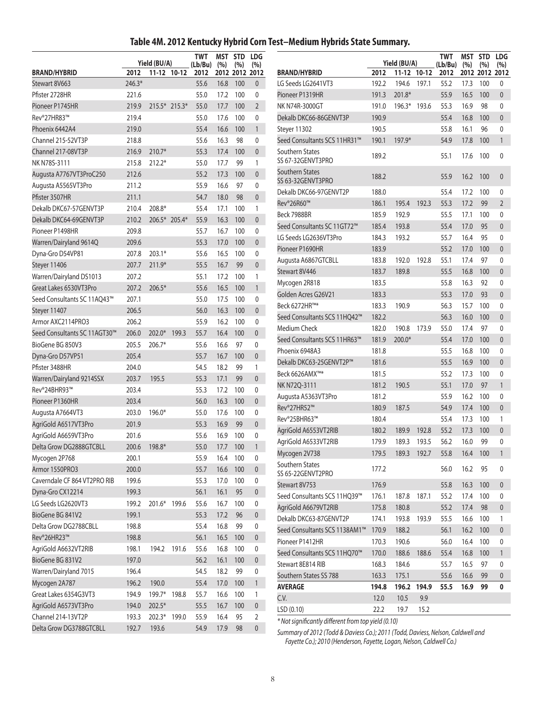## **Table 4M. 2012 Kentucky Hybrid Corn Test–Medium Hybrids State Summary.**

|                              |        | Yield (BU/A)  |             | <b>TWT</b><br>(Lb/Bu) | (%)      | <b>MST STD</b><br>(%) | <b>LDG</b><br>(%) |                                                                      |       | Yield (BU/A) |             | <b>TWT</b><br>(Lb/Bu) | <b>MST STD</b><br>(%) | (%)            | <b>LDG</b><br>(%) |
|------------------------------|--------|---------------|-------------|-----------------------|----------|-----------------------|-------------------|----------------------------------------------------------------------|-------|--------------|-------------|-----------------------|-----------------------|----------------|-------------------|
| <b>BRAND/HYBRID</b>          | 2012   |               | 11-12 10-12 | 2012                  |          | 2012 2012 2012        |                   | <b>BRAND/HYBRID</b>                                                  | 2012  |              | 11-12 10-12 | 2012                  |                       | 2012 2012 2012 |                   |
| Stewart 8V663                | 246.3* |               |             | 55.6                  | 16.8     | 100                   | $\overline{0}$    | LG Seeds LG2641VT3                                                   | 192.2 | 194.6        | 197.1       | 55.2                  | 17.3                  | 100            | 0                 |
| Pfister 2728HR               | 221.6  |               |             | 55.0                  | 17.2     | 100                   | 0                 | Pioneer P1319HR                                                      | 191.3 | 201.8*       |             | 55.9                  | 16.5                  | 100            | $\mathbf{0}$      |
| Pioneer P1745HR              | 219.9  | 215.5* 215.3* |             | 55.0                  | 17.7     | 100                   | $\overline{2}$    | NK N74R-3000GT                                                       | 191.0 | 196.3* 193.6 |             | 55.3                  | 16.9                  | 98             | 0                 |
| Rev®27HR83™                  | 219.4  |               |             | 55.0                  | 17.6     | 100                   | 0                 | Dekalb DKC66-86GENVT3P                                               | 190.9 |              |             | 55.4                  | 16.8                  | 100            | $\mathbf{0}$      |
| Phoenix 6442A4               | 219.0  |               |             | 55.4                  | 16.6     | 100                   |                   | Steyer 11302                                                         | 190.5 |              |             | 55.8                  | 16.1                  | 96             | 0                 |
| Channel 215-52VT3P           | 218.8  |               |             | 55.6                  | 16.3     | 98                    | 0                 | Seed Consultants SCS 11HR31™                                         | 190.1 | 197.9*       |             | 54.9                  | 17.8                  | 100            | $\mathbf{1}$      |
| Channel 217-08VT3P           | 216.9  | 210.7*        |             | 55.3                  | 17.4     | 100                   | $\overline{0}$    | Southern States                                                      | 189.2 |              |             | 55.1                  | 17.6                  | 100            | $\mathbf{0}$      |
| NK N78S-3111                 | 215.8  | $212.2*$      |             | 55.0                  | 17.7     | 99                    | 1                 | SS 67-32GENVT3PRO                                                    |       |              |             |                       |                       |                |                   |
| Augusta A7767VT3ProC250      | 212.6  |               |             | 55.2                  | 17.3     | 100                   | $\overline{0}$    | Southern States<br>SS 63-32GENVT3PRO                                 | 188.2 |              |             | 55.9                  | 16.2                  | 100            | $\mathbf{0}$      |
| Augusta A5565VT3Pro          | 211.2  |               |             | 55.9                  | 16.6     | 97                    | 0                 | Dekalb DKC66-97GENVT2P                                               | 188.0 |              |             | 55.4                  | 17.2                  | 100            | $\mathbf{0}$      |
| Pfister 3507HR               | 211.1  |               |             | 54.7                  | 18.0     | 98                    | $\overline{0}$    | Rev®26R60™                                                           | 186.1 | 195.4        | 192.3       | 55.3                  | 17.2                  | 99             | $\overline{2}$    |
| Dekalb DKC67-57GENVT3P       | 210.4  | 208.8*        |             | 55.4                  | 17.1     | 100                   | 1                 | Beck 7988BR                                                          | 185.9 | 192.9        |             | 55.5                  | 17.1                  | 100            | 0                 |
| Dekalb DKC64-69GENVT3P       | 210.2  | 206.5* 205.4* |             | 55.9                  | 16.3     | 100                   | $\overline{0}$    | Seed Consultants SC 11GT72 <sup>™</sup>                              | 185.4 | 193.8        |             | 55.4                  | 17.0                  | 95             | $\mathbf{0}$      |
| Pioneer P1498HR              | 209.8  |               |             | 55.7                  | 16.7     | 100                   | 0                 | LG Seeds LG2636VT3Pro                                                | 184.3 | 193.2        |             | 55.7                  | 16.4                  | 95             | 0                 |
| Warren/Dairyland 9614Q       | 209.6  |               |             | 55.3                  | 17.0     | 100                   | $\overline{0}$    | Pioneer P1690HR                                                      | 183.9 |              |             | 55.2                  | 17.0                  | 100            | $\theta$          |
| Dyna-Gro D54VP81             | 207.8  | $203.1*$      |             | 55.6                  | 16.5     | 100                   | 0                 | Augusta A6867GTCBLL                                                  | 183.8 | 192.0        | 192.8       | 55.1                  | 17.4                  | 97             | 0                 |
| Steyer 11406                 | 207.7  | 211.9*        |             | 55.5                  | 16.7     | 99                    | $\overline{0}$    | Stewart 8V446                                                        | 183.7 | 189.8        |             | 55.5                  | 16.8                  | 100            | $\mathbf{0}$      |
| Warren/Dairyland DS1013      | 207.2  |               |             | 55.1                  | 17.2     | 100                   |                   | Mycogen 2R818                                                        | 183.5 |              |             | 55.8                  | 16.3                  | 92             | 0                 |
| Great Lakes 6530VT3Pro       | 207.2  | 206.5*        |             | 55.6                  | 16.5     | 100                   |                   | Golden Acres G26V21                                                  | 183.3 |              |             | 55.3                  | 17.0                  | 93             | $\mathbf{0}$      |
| Seed Consultants SC 11AQ43™  | 207.1  |               |             | 55.0                  | 17.5     | 100                   | $\mathbf{0}$      | Beck 6272HR™*                                                        | 183.3 | 190.9        |             | 56.3                  | 15.7                  | 100            | 0                 |
| Steyer 11407                 | 206.5  |               |             | 56.0                  | 16.3     | 100                   | $\overline{0}$    | Seed Consultants SCS 11HQ42™                                         | 182.2 |              |             | 56.3                  | 16.0                  | 100            | $\mathbf{0}$      |
| Armor AXC2114PRO3            | 206.2  |               |             | 55.9                  | 16.2     | 100                   | 0                 | Medium Check                                                         | 182.0 | 190.8        | 173.9       | 55.0                  | 17.4                  | 97             | 0                 |
| Seed Consultants SC 11AGT30™ | 206.0  | $202.0*$      | 199.3       | 55.7                  | 16.4     | 100                   | $\overline{0}$    | Seed Consultants SCS 11HR63™                                         | 181.9 | 200.0*       |             | 55.4                  | 17.0                  | 100            | $\theta$          |
| BioGene BG 850V3             | 205.5  | $206.7*$      |             | 55.6                  | 16.6     | 97                    | 0                 | Phoenix 6948A3                                                       | 181.8 |              |             | 55.5                  | 16.8                  | 100            | 0                 |
| Dyna-Gro D57VP51             | 205.4  |               |             | 55.7                  | 16.7     | 100                   | $\overline{0}$    | Dekalb DKC63-25GENVT2P™                                              | 181.6 |              |             | 55.5                  | 16.9                  | 100            | $\Omega$          |
| Pfister 3488HR               | 204.0  |               |             | 54.5                  | 18.2     | 99                    | 1                 | Beck 6626AMX™*                                                       | 181.5 |              |             | 55.2                  | 17.3                  | 100            | $\mathbf{0}$      |
| Warren/Dairyland 9214SSX     | 203.7  | 195.5         |             | 55.3                  | 17.1     | 99                    | $\overline{0}$    | NK N72Q-3111                                                         | 181.2 | 190.5        |             | 55.1                  | 17.0                  | 97             | $\mathbf{1}$      |
| Rev®24BHR93™                 | 203.4  |               |             | 55.3                  | 17.2     | 100                   | $\mathbf{0}$      | Augusta A5363VT3Pro                                                  | 181.2 |              |             | 55.9                  | 16.2                  | 100            | 0                 |
| Pioneer P1360HR              | 203.4  |               |             | 56.0                  | 16.3     | 100                   | $\overline{0}$    | Rev®27HR52™                                                          | 180.9 | 187.5        |             | 54.9                  | 17.4                  | 100            | $\mathbf{0}$      |
| Augusta A7664VT3             | 203.0  | 196.0*        |             | 55.0                  | 17.6     | 100                   | 0                 | Rev®25BHR63™                                                         | 180.4 |              |             | 55.4                  | 17.3                  | 100            | 1                 |
| AgriGold A6517VT3Pro         | 201.9  |               |             | 55.3                  | 16.9     | 99                    | $\overline{0}$    | AgriGold A6553VT2RIB                                                 | 180.2 | 189.9        | 192.8       | 55.2                  | 17.3                  | 100            | $\mathbf{0}$      |
| AgriGold A6659VT3Pro         | 201.6  |               |             | 55.6                  | 16.9     | 100                   | $\mathbf{0}$      | AgriGold A6533VT2RIB                                                 | 179.9 | 189.3        | 193.5       | 56.2                  | 16.0                  | 99             | $\mathbf{0}$      |
| Delta Grow DG2888GTCBLL      |        | 200.6 198.8*  |             | 55.0                  | 17.7 100 |                       |                   | Mycogen 2V738                                                        | 179.5 |              | 189.3 192.7 | 55.8                  | 16.4 100              |                | $\overline{1}$    |
| Mycogen 2P768                | 200.1  |               |             | 55.9                  | 16.4     | 100                   | 0                 | Southern States                                                      |       |              |             |                       |                       |                |                   |
| Armor 1550PRO3               | 200.0  |               |             | 55.7                  | 16.6     | 100                   | $\mathbf 0$       | SS 65-22GENVT2PRO                                                    | 177.2 |              |             | 56.0                  | 16.2                  | 95             | 0                 |
| Caverndale CF 864 VT2PRO RIB | 199.6  |               |             | 55.3                  | 17.0     | 100                   | 0                 | Stewart 8V753                                                        | 176.9 |              |             | 55.8                  | 16.3                  | 100            | $\mathbf{0}$      |
| Dyna-Gro CX12214             | 199.3  |               |             | 56.1                  | 16.1     | 95                    | $\mathbf{0}$      | Seed Consultants SCS 11HQ39™                                         | 176.1 | 187.8        | 187.1       | 55.2                  | 17.4                  | 100            | 0                 |
| LG Seeds LG2620VT3           | 199.2  | 201.6* 199.6  |             | 55.6                  | 16.7     | 100                   | 0                 | AgriGold A6679VT2RIB                                                 | 175.8 | 180.8        |             | 55.2                  | 17.4                  | 98             | $\mathbf{0}$      |
| BioGene BG 841V2             | 199.1  |               |             | 55.3                  | 17.2     | 96                    | $\overline{0}$    | Dekalb DKC63-87GENVT2P                                               | 174.1 | 193.8        | 193.9       | 55.5                  | 16.6                  | 100            | 1                 |
| Delta Grow DG2788CBLL        | 198.8  |               |             | 55.4                  | 16.8     | 99                    | 0                 | Seed Consultants SCS 1138AM1™                                        | 170.9 | 188.2        |             | 56.1                  | 16.2                  | 100            | $\mathbf 0$       |
| Rev®26HR23™                  | 198.8  |               |             | 56.1                  | 16.5     | 100                   | $\mathbf{0}$      | Pioneer P1412HR                                                      | 170.3 | 190.6        |             | 56.0                  | 16.4                  | 100            | 0                 |
| AgriGold A6632VT2RIB         | 198.1  | 194.2 191.6   |             | 55.6                  | 16.8     | 100                   | 0                 | Seed Consultants SCS 11HQ70™                                         | 170.0 | 188.6        | 188.6       | 55.4                  | 16.8                  | 100            | $\mathbf{1}$      |
| BioGene BG 831V2             | 197.0  |               |             | 56.2                  | 16.1     | 100                   | $\mathbf{0}$      | Stewart 8E814 RIB                                                    | 168.3 | 184.6        |             | 55.7                  | 16.5                  | 97             | 0                 |
| Warren/Dairyland 7015        | 196.4  |               |             | 54.5                  | 18.2     | 99                    | 0                 | Southern States SS 788                                               | 163.3 | 175.1        |             | 55.6                  | 16.6                  | 99             | 0                 |
| Mycogen 2A787                | 196.2  | 190.0         |             | 55.4                  | 17.0     | 100                   | 1                 | <b>AVERAGE</b>                                                       | 194.8 |              | 196.2 194.9 | 55.5                  | 16.9 99               |                | $\mathbf 0$       |
| Great Lakes 6354G3VT3        | 194.9  | 199.7* 198.8  |             | 55.7                  | 16.6     | 100                   | $\mathbf{1}$      | C.V.                                                                 | 12.0  | 10.5         | 9.9         |                       |                       |                |                   |
| AgriGold A6573VT3Pro         | 194.0  | 202.5*        |             | 55.5                  | 16.7     | 100                   | $\mathbf{0}$      | LSD (0.10)                                                           | 22.2  | 19.7         | 15.2        |                       |                       |                |                   |
| Channel 214-13VT2P           | 193.3  | 202.3* 199.0  |             | 55.9                  | 16.4     | 95                    | 2                 | * Not significantly different from top yield (0.10)                  |       |              |             |                       |                       |                |                   |
| Delta Grow DG3788GTCBLL      | 192.7  | 193.6         |             | 54.9                  | 17.9 98  |                       | $\pmb{0}$         | of 2012 (Todd & Daviers Co.): 2011 (Todd Daviers Nelson Caldwell and |       |              |             |                       |                       |                |                   |

*Summary of 2012 (Todd & Daviess Co.); 2011 (Todd, Daviess, Nelson, Caldwell and Fayette Co.); 2010 (Henderson, Fayette, Logan, Nelson, Caldwell Co.)*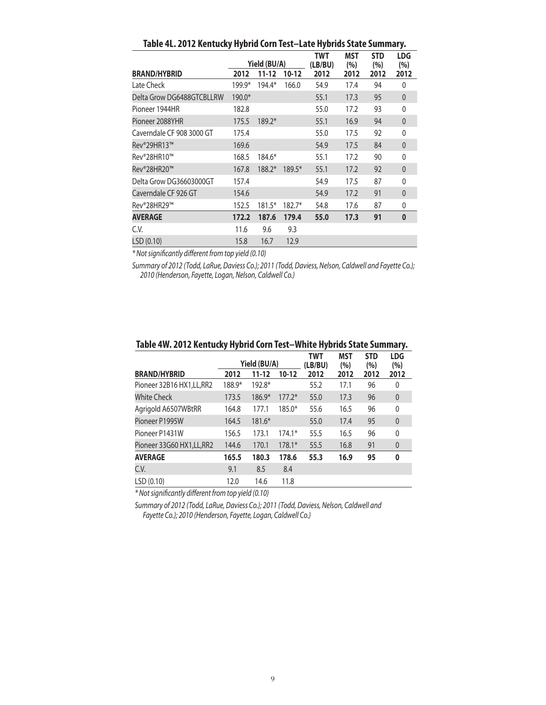| .                         |        |              |          |                |                   |                   |                   |  |  |  |  |
|---------------------------|--------|--------------|----------|----------------|-------------------|-------------------|-------------------|--|--|--|--|
|                           |        | Yield (BU/A) |          | TWT<br>(LB/BU) | <b>MST</b><br>(%) | <b>STD</b><br>(%) | <b>LDG</b><br>(%) |  |  |  |  |
| <b>BRAND/HYBRID</b>       | 2012   | $11 - 12$    | $10-12$  | 2012           | 2012              | 2012              | 2012              |  |  |  |  |
| Late Check                | 199.9* | 194.4*       | 166.0    | 54.9           | 17.4              | 94                | $\mathbf{0}$      |  |  |  |  |
| Delta Grow DG6488GTCBLLRW | 190.0* |              |          | 55.1           | 17.3              | 95                | $\mathbf{0}$      |  |  |  |  |
| Pioneer 1944HR            | 182.8  |              |          | 55.0           | 17.2              | 93                | 0                 |  |  |  |  |
| Pioneer 2088YHR           | 175.5  | $189.2*$     |          | 55.1           | 16.9              | 94                | $\mathbf{0}$      |  |  |  |  |
| Caverndale CF 908 3000 GT | 175.4  |              |          | 55.0           | 17.5              | 92                | 0                 |  |  |  |  |
| Rev®29HR13™               | 169.6  |              |          | 54.9           | 17.5              | 84                | $\mathbf{0}$      |  |  |  |  |
| Rev®28HR10™               | 168.5  | 184.6*       |          | 55.1           | 17.2              | 90                | 0                 |  |  |  |  |
| Rev®28HR20™               | 167.8  | $188.2*$     | 189.5*   | 55.1           | 17.2              | 92                | $\mathbf{0}$      |  |  |  |  |
| Delta Grow DG36603000GT   | 157.4  |              |          | 54.9           | 17.5              | 87                | 0                 |  |  |  |  |
| Caverndale CF 926 GT      | 154.6  |              |          | 54.9           | 17.2              | 91                | 0                 |  |  |  |  |
| Rev®28HR29™               | 152.5  | $181.5*$     | $182.7*$ | 54.8           | 17.6              | 87                | 0                 |  |  |  |  |
| <b>AVERAGE</b>            | 172.2  | 187.6        | 179.4    | 55.0           | 17.3              | 91                | $\bf{0}$          |  |  |  |  |
| C.V.                      | 11.6   | 9.6          | 9.3      |                |                   |                   |                   |  |  |  |  |
| LSD (0.10)                | 15.8   | 16.7         | 12.9     |                |                   |                   |                   |  |  |  |  |

**Table 4L. 2012 Kentucky Hybrid Corn Test–Late Hybrids State Summary.**

*\* Not significantly different from top yield (0.10)*

*Summary of 2012 (Todd, LaRue, Daviess Co.); 2011 (Todd, Daviess, Nelson, Caldwell and Fayette Co.); 2010 (Henderson, Fayette, Logan, Nelson, Caldwell Co.)*

| <b>BRAND/HYBRID</b>        | 2012   | Yield (BU/A)<br>$11 - 12$ | $10 - 12$ | <b>TWT</b><br>(LB/BU)<br>2012 | <b>MST</b><br>(%)<br>2012 | <b>STD</b><br>(%)<br>2012 | <b>LDG</b><br>(%)<br>2012 |
|----------------------------|--------|---------------------------|-----------|-------------------------------|---------------------------|---------------------------|---------------------------|
|                            |        |                           |           |                               |                           |                           |                           |
| Pioneer 32B16 HX1, LL, RR2 | 188.9* | $192.8*$                  |           | 55.2                          | 17.1                      | 96                        | 0                         |
| <b>White Check</b>         | 173.5  | $186.9*$                  | $177.2*$  | 55.0                          | 17.3                      | 96                        | $\theta$                  |
| Agrigold A6507WBtRR        | 164.8  | 177.1                     | $185.0*$  | 55.6                          | 16.5                      | 96                        | $\mathbf{0}$              |
| Pioneer P1995W             | 164.5  | $181.6*$                  |           | 55.0                          | 17.4                      | 95                        | $\theta$                  |
| Pioneer P1431W             | 156.5  | 173.1                     | $174.1*$  | 55.5                          | 16.5                      | 96                        | 0                         |
| Pioneer 33G60 HX1, LL, RR2 | 144.6  | 170.1                     | $178.1*$  | 55.5                          | 16.8                      | 91                        | $\overline{0}$            |
| <b>AVERAGE</b>             | 165.5  | 180.3                     | 178.6     | 55.3                          | 16.9                      | 95                        | 0                         |
| C.V.                       | 9.1    | 8.5                       | 8.4       |                               |                           |                           |                           |
| LSD(0.10)                  | 12.0   | 14.6                      | 11.8      |                               |                           |                           |                           |

#### **Table 4W. 2012 Kentucky Hybrid Corn Test–White Hybrids State Summary.**

*\* Not significantly different from top yield (0.10)*

*Summary of 2012 (Todd, LaRue, Daviess Co.); 2011 (Todd, Daviess, Nelson, Caldwell and Fayette Co.); 2010 (Henderson, Fayette, Logan, Caldwell Co.)*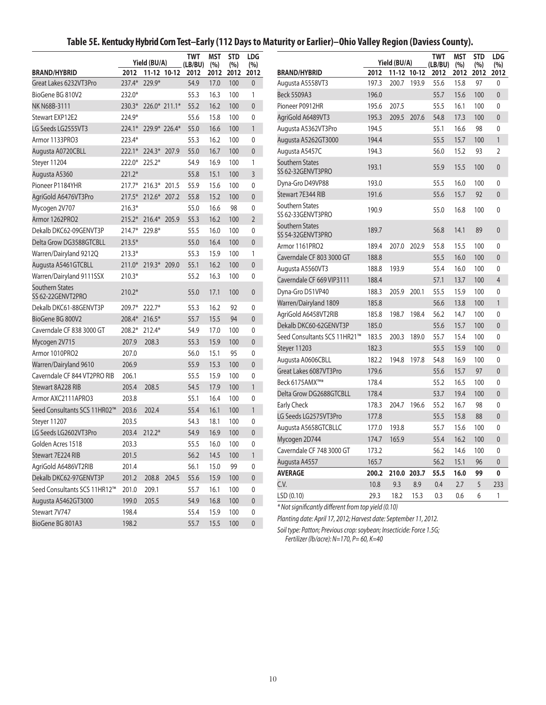## **Table 5E. Kentucky Hybrid Corn Test–Early (112 Days to Maturity or Earlier)–Ohio Valley Region (Daviess County).**

| <b>TWT</b><br><b>MST</b><br><b>STD</b><br><b>LDG</b><br><b>TWT</b><br><b>STD</b><br><b>MST</b><br>Yield (BU/A)<br>Yield (BU/A)<br>(LB/BU)<br>(%)<br>(%)<br>(%)<br>(LB/BU)<br>(9/0)<br>(%) | <b>LDG</b><br>(%) |
|-------------------------------------------------------------------------------------------------------------------------------------------------------------------------------------------|-------------------|
|                                                                                                                                                                                           |                   |
| <b>BRAND/HYBRID</b><br>2012 11-12 10-12<br><b>BRAND/HYBRID</b><br>2012<br>11-12 10-12<br>2012<br>2012<br>2012<br>2012<br>2012<br>2012<br>2012                                             | 2012              |
| $237.4*$<br>229.9*<br>54.9<br>17.0<br>100<br>$\mathbf{0}$<br>197.3<br>200.7 193.9<br>55.6<br>15.8<br>97<br>Great Lakes 6232VT3Pro<br>Augusta A5558VT3                                     | 0                 |
| BioGene BG 810V2<br>232.0*<br>55.3<br>16.3<br>100<br>Beck 5509A3<br>196.0<br>55.7<br>15.6<br>100<br>$\mathbf{1}$                                                                          | $\mathbf{0}$      |
| 100<br>Pioneer P0912HR<br>207.5<br>100<br>NK N68B-3111<br>226.0* 211.1*<br>55.2<br>16.2<br>$\overline{0}$<br>195.6<br>55.5<br>16.1<br>$230.3*$                                            | 0                 |
| Stewart EXP12E2<br>224.9*<br>55.6<br>15.8<br>100<br>$\mathbf{0}$<br>AgriGold A6489VT3<br>195.3<br>209.5<br>207.6<br>54.8<br>17.3<br>100                                                   | $\mathbf{0}$      |
| 194.5<br>LG Seeds LG2555VT3<br>224.1* 229.9* 226.4*<br>55.0<br>16.6<br>100<br>$\mathbf{1}$<br>55.1<br>16.6<br>98<br>Augusta A5362VT3Pro                                                   | 0                 |
| Armor 1133PRO3<br>223.4*<br>55.3<br>16.2<br>100<br>$\mathbf{0}$<br>194.4<br>55.5<br>15.7<br>100<br>Augusta A5262GT3000                                                                    | $\mathbf{1}$      |
| 222.1* 224.3* 207.9<br>55.0<br>16.7<br>100<br>$\overline{0}$<br>194.3<br>15.2<br>93<br>Augusta A0720CBLL<br>Augusta A5457C<br>56.0                                                        | $\overline{2}$    |
| $222.0*$<br>$225.2*$<br>54.9<br>16.9<br>100<br>Southern States<br>Steyer 11204<br>1<br>193.1<br>55.9<br>15.5<br>100                                                                       | $\mathbf{0}$      |
| SS 62-32GENVT3PRO<br>$221.2*$<br>$\overline{3}$<br>55.8<br>15.1<br>100<br>Augusta A5360                                                                                                   |                   |
| Dyna-Gro D49VP88<br>193.0<br>55.5<br>16.0<br>100<br>$\Omega$<br>Pioneer P1184YHR<br>216.3* 201.5<br>55.9<br>15.6<br>100<br>$217.7*$                                                       | 0                 |
| 191.6<br>92<br>Stewart 7E344 RIB<br>55.6<br>15.7<br>100<br>$\overline{0}$<br>AgriGold A6476VT3Pro<br>217.5* 212.6* 207.2<br>55.8<br>15.2                                                  | $\mathbf{0}$      |
| Southern States<br>$216.3*$<br>55.0<br>16.6<br>98<br>$\Omega$<br>Mycogen 2V707<br>55.0<br>16.8<br>100<br>190.9                                                                            | 0                 |
| SS 62-33GENVT3PRO<br>Armor 1262PRO2<br>215.2* 216.4* 205.9<br>55.3<br>16.2<br>100<br>$\overline{2}$                                                                                       |                   |
| <b>Southern States</b><br>189.7<br>89<br>Dekalb DKC62-09GENVT3P<br>56.8<br>14.1<br>$214.7*$<br>229.8*<br>55.5<br>16.0<br>100<br>0<br>SS 54-32GENVT3PRO                                    | $\mathbf{0}$      |
| $213.5*$<br>100<br>Delta Grow DG3588GTCBLL<br>55.0<br>16.4<br>$\overline{0}$<br>Armor 1161PRO2<br>189.4<br>207.0<br>202.9<br>55.8<br>15.5<br>100                                          | 0                 |
| $213.3*$<br>55.3<br>15.9<br>100<br>Warren/Dairyland 9212Q<br>1<br>Caverndale CF 803 3000 GT<br>188.8<br>55.5<br>16.0<br>100                                                               | $\mathbf{0}$      |
| $211.0*$<br>219.3* 209.0<br>55.1<br>16.2<br>100<br>$\mathbf{0}$<br>Augusta A5461GTCBLL<br>100<br>Augusta A5560VT3<br>188.8<br>193.9<br>55.4<br>16.0                                       | 0                 |
| Warren/Dairyland 9111SSX<br>$210.3*$<br>55.2<br>16.3<br>100<br>0<br>Caverndale CF 669 VIP3111<br>188.4<br>57.1<br>13.7<br>100                                                             | $\overline{4}$    |
| <b>Southern States</b><br>Dyna-Gro D51VP40<br>188.3<br>205.9<br>200.1<br>55.5<br>15.9<br>100<br>$210.2*$<br>17.1<br>100<br>55.0<br>$\mathbf{0}$                                           | 0                 |
| SS 62-22GENVT2PRO<br>Warren/Dairyland 1809<br>185.8<br>56.6<br>13.8<br>100                                                                                                                | $\mathbf{1}$      |
| Dekalb DKC61-88GENVT3P<br>209.7* 222.7*<br>55.3<br>16.2<br>92<br>0<br>100<br>185.8<br>198.7<br>198.4<br>56.2<br>14.7                                                                      | 0                 |
| AgriGold A6458VT2RIB<br>BioGene BG 800V2<br>208.4* 216.5*<br>55.7<br>15.5<br>94<br>$\overline{0}$<br>Dekalb DKC60-62GENVT3P<br>185.0<br>55.6<br>15.7<br>100                               | $\mathbf{0}$      |
| Caverndale CF 838 3000 GT<br>$208.2*$<br>$212.4*$<br>54.9<br>17.0<br>100<br>0<br>Seed Consultants SCS 11HR21™                                                                             | 0                 |
| 183.5<br>200.3<br>189.0<br>55.7<br>100<br>15.4<br>Mycogen 2V715<br>207.9<br>208.3<br>55.3<br>15.9<br>100<br>$\mathbf{0}$                                                                  | $\mathbf{0}$      |
| Steyer 11203<br>182.3<br>55.5<br>15.9<br>100<br>207.0<br>Armor 1010PRO2<br>56.0<br>15.1<br>95<br>0                                                                                        |                   |
| 182.2<br>100<br>Augusta A0606CBLL<br>194.8<br>197.8<br>54.8<br>16.9<br>Warren/Dairyland 9610<br>206.9<br>55.9<br>15.3<br>100<br>$\overline{0}$                                            | 0                 |
| Great Lakes 6087VT3Pro<br>179.6<br>55.6<br>15.7<br>97<br>55.5<br>15.9<br>100<br>Caverndale CF 844 VT2PRO RIB<br>206.1<br>0                                                                | $\mathbf{0}$      |
| Beck 6175AMX™*<br>178.4<br>55.2<br>16.5<br>100<br>Stewart 8A228 RIB<br>205.4<br>208.5<br>54.5<br>17.9<br>100<br>$\mathbf{1}$                                                              | 0                 |
| Delta Grow DG2688GTCBLL<br>178.4<br>53.7<br>19.4<br>100<br>0<br>Armor AXC2111APRO3<br>203.8<br>55.1<br>16.4<br>100                                                                        | $\mathbf{0}$      |
| Early Check<br>178.3<br>204.7<br>196.6<br>55.2<br>16.7<br>98<br>Seed Consultants SCS 11HR02™<br>203.6<br>202.4<br>55.4<br>16.1<br>100<br>$\mathbf{1}$                                     | 0                 |
| LG Seeds LG2575VT3Pro<br>177.8<br>55.5<br>15.8<br>88<br>203.5<br>54.3<br>18.1<br>100<br>0<br>Steyer 11207                                                                                 | $\mathbf{0}$      |
| Augusta A5658GTCBLLC<br>193.8<br>55.7<br>100<br>177.0<br>15.6<br>16.9<br>LG Seeds LG2602VT3Pro<br>203.4<br>$212.2*$<br>54.9<br>100<br>$\mathbf{0}$                                        | 0                 |
| Mycogen 2D744<br>165.9<br>55.4<br>16.2<br>100<br>174.7<br>203.3<br>55.5<br>16.0<br>100<br>$\Omega$<br>Golden Acres 1518                                                                   | $\mathbf{0}$      |
| Caverndale CF 748 3000 GT<br>14.6<br>100<br>173.2<br>56.2<br>100<br>Stewart 7E224 RIB<br>201.5<br>56.2<br>14.5<br>$\mathbf{1}$                                                            | 0                 |
| 56.2<br>165.7<br>15.1<br>96<br>Augusta A4557<br>AgriGold A6486VT2RIB<br>201.4<br>56.1<br>15.0<br>99<br>0                                                                                  | 0                 |
| 99<br><b>AVERAGE</b><br>200.2 210.0<br>203.7<br>55.5<br>16.0<br>Dekalb DKC62-97GENVT3P<br>201.2<br>208.8 204.5<br>55.6<br>15.9<br>100<br>$\mathbf 0$                                      | $\mathbf 0$       |
| C.V.<br>10.8<br>9.3<br>8.9<br>0.4<br>5<br>2.7<br>Seed Consultants SCS 11HR12™<br>209.1<br>16.1<br>201.0<br>55.7<br>100<br>0                                                               | 233               |
| LSD (0.10)<br>29.3<br>6<br>18.2<br>15.3<br>0.3<br>0.6<br>199.0<br>205.5<br>54.9<br>16.8<br>100<br>$\mathbf 0$<br>Augusta A5462GT3000                                                      | $\mathbf{1}$      |
| * Not significantly different from top yield (0.10)<br>Stewart 7V747<br>198.4<br>55.4<br>15.9<br>100<br>0                                                                                 |                   |
| Planting date: April 17, 2012; Harvest date: September 11, 2012.<br>BioGene BG 801A3<br>198.2<br>55.7<br>15.5<br>100<br>$\overline{0}$                                                    |                   |

*Soil type: Patton; Previous crop: soybean; Insecticide: Force 1.5G; Fertilizer (lb/acre): N=170, P= 60, K=40*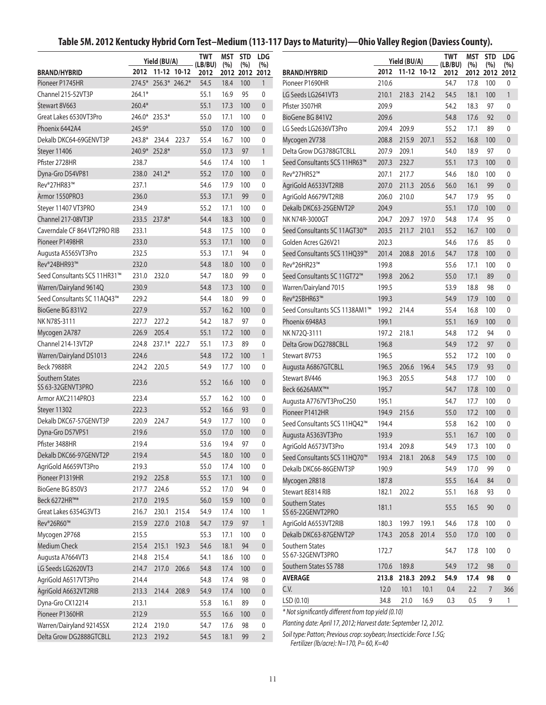## **Table 5M. 2012 Kentucky Hybrid Corn Test–Medium (113-117 Days to Maturity)—Ohio Valley Region (Daviess County).**

|                                        |          | Yield (BU/A)         | 2012 11-12 10-12 | <b>TWT</b><br>(LB/BU) | MST<br>(%)   | <b>STD</b><br>(%) | <b>LDG</b><br>(%)    |                                                                     |       | Yield (BU/A)<br>2012 11-12 10-12 |             | TWT<br>(LB/BU) | <b>MST</b><br>(%) | <b>STD</b><br>(%) | <b>LDG</b><br>(%) |
|----------------------------------------|----------|----------------------|------------------|-----------------------|--------------|-------------------|----------------------|---------------------------------------------------------------------|-------|----------------------------------|-------------|----------------|-------------------|-------------------|-------------------|
| <b>BRAND/HYBRID</b><br>Pioneer P1745HR |          | 274.5* 256.3* 246.2* |                  | 2012<br>54.5          | 2012<br>18.4 | 2012<br>100       | 2012<br>$\mathbf{1}$ | <b>BRAND/HYBRID</b><br>Pioneer P1690HR                              | 210.6 |                                  |             | 2012<br>54.7   | 17.8              | 2012 2012<br>100  | 2012<br>0         |
| Channel 215-52VT3P                     | $264.1*$ |                      |                  | 55.1                  | 16.9         | 95                | 0                    | LG Seeds LG2641VT3                                                  | 210.1 | 218.3                            | 214.2       | 54.5           | 18.1              | 100               | $\mathbf{1}$      |
| Stewart 8V663                          | 260.4*   |                      |                  | 55.1                  | 17.3         | 100               | $\mathbf{0}$         | Pfister 3507HR                                                      | 209.9 |                                  |             | 54.2           | 18.3              | 97                | 0                 |
| Great Lakes 6530VT3Pro                 |          | 246.0* 235.3*        |                  | 55.0                  | 17.1         | 100               | $\mathbf 0$          | BioGene BG 841V2                                                    | 209.6 |                                  |             | 54.8           | 17.6              | 92                | $\theta$          |
| Phoenix 6442A4                         | 245.9*   |                      |                  | 55.0                  | 17.0         | 100               | $\mathbf{0}$         | LG Seeds LG2636VT3Pro                                               | 209.4 | 209.9                            |             | 55.2           | 17.1              | 89                | 0                 |
| Dekalb DKC64-69GENVT3P                 | 243.8*   | 234.4                | 223.7            | 55.4                  | 16.7         | 100               | $\mathbf 0$          | Mycogen 2V738                                                       | 208.8 | 215.9                            | 207.1       | 55.2           | 16.8              | 100               | $\theta$          |
| Steyer 11406                           |          | 240.9* 252.8*        |                  | 55.0                  | 17.3         | 97                | $\mathbf{1}$         | Delta Grow DG3788GTCBLL                                             | 207.9 | 209.1                            |             | 54.0           | 18.9              | 97                | 0                 |
| Pfister 2728HR                         | 238.7    |                      |                  | 54.6                  | 17.4         | 100               | $\mathbf{1}$         | Seed Consultants SCS 11HR63™                                        | 207.3 | 232.7                            |             | 55.1           | 17.3              | 100               | $\theta$          |
| Dyna-Gro D54VP81                       | 238.0    | $241.2*$             |                  | 55.2                  | 17.0         | 100               | $\mathbf{0}$         | Rev®27HR52™                                                         | 207.1 | 217.7                            |             | 54.6           | 18.0              | 100               | 0                 |
| Rev®27HR83™                            | 237.1    |                      |                  | 54.6                  | 17.9         | 100               | 0                    | AgriGold A6533VT2RIB                                                | 207.0 | 211.3                            | 205.6       | 56.0           | 16.1              | 99                | $\theta$          |
| Armor 1550PRO3                         | 236.0    |                      |                  | 55.3                  | 17.1         | 99                | $\mathbf{0}$         | AgriGold A6679VT2RIB                                                | 206.0 | 210.0                            |             | 54.7           | 17.9              | 95                | 0                 |
| Steyer 11407 VT3PRO                    | 234.9    |                      |                  | 55.2                  | 17.1         | 100               | $\mathbf 0$          | Dekalb DKC63-25GENVT2P                                              | 204.9 |                                  |             | 55.1           | 17.0              | 100               | $\theta$          |
| Channel 217-08VT3P                     |          | 233.5 237.8*         |                  | 54.4                  | 18.3         | 100               | $\mathbf{0}$         | NK N74R-3000GT                                                      | 204.7 | 209.7                            | 197.0       | 54.8           | 17.4              | 95                | 0                 |
| Caverndale CF 864 VT2PRO RIB           | 233.1    |                      |                  | 54.8                  | 17.5         | 100               | 0                    | Seed Consultants SC 11AGT30™                                        | 203.5 | 211.7                            | 210.1       | 55.2           | 16.7              | 100               | $\mathbf{0}$      |
| Pioneer P1498HR                        | 233.0    |                      |                  | 55.3                  | 17.1         | 100               | $\mathbf{0}$         | Golden Acres G26V21                                                 | 202.3 |                                  |             | 54.6           | 17.6              | 85                | $\mathbf 0$       |
| Augusta A5565VT3Pro                    | 232.5    |                      |                  | 55.3                  | 17.1         | 94                | $\mathbf 0$          | Seed Consultants SCS 11HQ39™                                        | 201.4 | 208.8                            | 201.6       | 54.7           | 17.8              | 100               | $\theta$          |
| Rev®24BHR93™                           | 232.0    |                      |                  | 54.8                  | 18.0         | 100               | $\mathbf{0}$         | Rev®26HR23™                                                         | 199.8 |                                  |             | 55.6           | 17.1              | 100               | 0                 |
| Seed Consultants SCS 11HR31™           | 231.0    | 232.0                |                  | 54.7                  | 18.0         | 99                | 0                    | Seed Consultants SC 11GT72 <sup>™</sup>                             | 199.8 | 206.2                            |             | 55.0           | 17.1              | 89                | $\theta$          |
| Warren/Dairyland 9614Q                 | 230.9    |                      |                  | 54.8                  | 17.3         | 100               | $\mathbf{0}$         | Warren/Dairyland 7015                                               | 199.5 |                                  |             | 53.9           | 18.8              | 98                | $\mathbf 0$       |
| Seed Consultants SC 11AO43™            | 229.2    |                      |                  | 54.4                  | 18.0         | 99                | $\mathbf 0$          | Rev®25BHR63™                                                        | 199.3 |                                  |             | 54.9           | 17.9              | 100               | $\theta$          |
| BioGene BG 831V2                       | 227.9    |                      |                  | 55.7                  | 16.2         | 100               | $\mathbf{0}$         | Seed Consultants SCS 1138AM1™                                       | 199.2 | 214.4                            |             | 55.4           | 16.8              | 100               | 0                 |
| NK N78S-3111                           | 227.7    | 227.2                |                  | 54.2                  | 18.7         | 97                | 0                    | Phoenix 6948A3<br>199.1                                             |       | 55.1                             | 16.9        | 100            | $\theta$          |                   |                   |
| Mycogen 2A787                          | 226.9    | 205.4                |                  | 55.1                  | 17.2         | 100               | $\mathbf{0}$         | NK N72Q-3111                                                        | 197.2 | 218.1                            |             | 54.8           | 17.2              | 94                | 0                 |
| Channel 214-13VT2P                     | 224.8    | 237.1* 222.7         |                  | 55.1                  | 17.3         | 89                | $\mathbf{0}$         | Delta Grow DG2788CBLL                                               | 196.8 |                                  |             | 54.9           | 17.2              | 97                | $\mathbf{0}$      |
| Warren/Dairyland DS1013                | 224.6    |                      |                  | 54.8                  | 17.2         | 100               | $\mathbf{1}$         | Stewart 8V753                                                       | 196.5 |                                  |             | 55.2           | 17.2              | 100               | 0                 |
| Beck 7988BR                            | 224.2    | 220.5                |                  | 54.9                  | 17.7         | 100               | 0                    | Augusta A6867GTCBLL                                                 | 196.5 | 206.6                            | 196.4       | 54.5           | 17.9              | 93                | $\theta$          |
| Southern States                        |          |                      |                  |                       |              |                   |                      | Stewart 8V446                                                       | 196.3 | 205.5                            |             | 54.8           | 17.7              | 100               | $\mathbf{0}$      |
| SS 63-32GENVT3PRO                      | 223.6    |                      |                  | 55.2                  | 16.6         | 100               | $\mathbf{0}$         | Beck 6626AMX™*                                                      | 195.7 |                                  |             | 54.7           | 17.8              | 100               | $\theta$          |
| Armor AXC2114PRO3                      | 223.4    |                      |                  | 55.7                  | 16.2         | 100               | 0                    | Augusta A7767VT3ProC250                                             | 195.1 |                                  |             | 54.7           | 17.7              | 100               | 0                 |
| Steyer 11302                           | 222.3    |                      |                  | 55.2                  | 16.6         | 93                | $\mathbf{0}$         | Pioneer P1412HR                                                     | 194.9 | 215.6                            |             | 55.0           | 17.2              | 100               | $\mathbf{0}$      |
| Dekalb DKC67-57GENVT3P                 | 220.9    | 224.7                |                  | 54.9                  | 17.7         | 100               | 0                    | Seed Consultants SCS 11HQ42™                                        | 194.4 |                                  |             | 55.8           | 16.2              | 100               | 0                 |
| Dyna-Gro D57VP51                       | 219.6    |                      |                  | 55.0                  | 17.0         | 100               | $\mathbf{0}$         | Augusta A5363VT3Pro                                                 | 193.9 |                                  |             | 55.1           | 16.7              | 100               | $\mathbf{0}$      |
| Pfister 3488HR                         | 219.4    |                      |                  | 53.6                  | 19.4         | 97                | 0                    | AgriGold A6573VT3Pro                                                | 193.4 | 209.8                            |             | 54.9           | 17.3              | 100               | $\Omega$          |
| Dekalb DKC66-97GENVT2P                 | 219.4    |                      |                  | 54.5                  | 18.0         | 100               | $\boldsymbol{0}$     | Seed Consultants SCS 11HQ70™                                        |       | 193.4 218.1 206.8                |             | 54.9           | 17.5              | 100               | $\mathbf{0}$      |
| AgriGold A6659VT3Pro                   | 219.3    |                      |                  | 55.0                  | 17.4         | 100               | 0                    | Dekalb DKC66-86GENVT3P                                              | 190.9 |                                  |             | 54.9           | 17.0              | 99                | 0                 |
| Pioneer P1319HR                        | 219.2    | 225.8                |                  | 55.5                  | 17.1         | 100               | $\pmb{0}$            | Mycogen 2R818                                                       | 187.8 |                                  |             | 55.5           | 16.4              | 84                | $\boldsymbol{0}$  |
| BioGene BG 850V3                       | 217.7    | 224.6                |                  | 55.2                  | 17.0         | 94                | 0                    | Stewart 8E814 RIB                                                   | 182.1 | 202.2                            |             | 55.1           | 16.8              | 93                | 0                 |
| Beck 6272HR™*                          | 217.0    | 219.5                |                  | 56.0                  | 15.9         | 100               | $\mathbf 0$          | Southern States                                                     |       |                                  |             |                |                   |                   |                   |
| Great Lakes 6354G3VT3                  | 216.7    |                      | 230.1 215.4      | 54.9                  | 17.4         | 100               | $\mathbf{1}$         | SS 65-22GENVT2PRO                                                   | 181.1 |                                  |             | 55.5           | 16.5              | 90                | $\theta$          |
| Rev®26R60™                             | 215.9    |                      | 227.0 210.8      | 54.7                  | 17.9         | 97                | $\mathbf{1}$         | AgriGold A6553VT2RIB                                                | 180.3 | 199.7                            | 199.1       | 54.6           | 17.8              | 100               | 0                 |
| Mycogen 2P768                          | 215.5    |                      |                  | 55.3                  | 17.1         | 100               | 0                    | Dekalb DKC63-87GENVT2P                                              | 174.3 | 205.8                            | 201.4       | 55.0           | 17.0              | 100               | $\theta$          |
| Medium Check                           | 215.4    | 215.1                | 192.3            | 54.6                  | 18.1         | 94                | $\mathbf 0$          | Southern States<br>172.7<br>54.7                                    |       | 17.8                             | 100         | 0              |                   |                   |                   |
| Augusta A7664VT3                       | 214.8    | 215.4                |                  | 54.1                  | 18.6         | 100               | 0                    | SS 67-32GENVT3PRO                                                   |       |                                  |             |                |                   |                   |                   |
| LG Seeds LG2620VT3                     | 214.7    | 217.0                | 206.6            | 54.8                  | 17.4         | 100               | $\mathbf 0$          | Southern States SS 788                                              | 170.6 | 189.8                            |             | 54.9           | 17.2              | 98                | $\boldsymbol{0}$  |
| AgriGold A6517VT3Pro                   | 214.4    |                      |                  | 54.8                  | 17.4         | 98                | $\pmb{0}$            | <b>AVERAGE</b>                                                      | 213.8 |                                  | 218.3 209.2 | 54.9           | 17.4              | 98                | 0                 |
| AgriGold A6632VT2RIB                   | 213.3    | 214.4                | 208.9            | 54.9                  | 17.4         | 100               | $\mathbf{0}$         | C.V.<br>12.0<br>10.1<br>2.2<br>10.1<br>0.4                          |       | $\overline{7}$                   | 366         |                |                   |                   |                   |
| Dyna-Gro CX12214                       | 213.1    |                      |                  | 55.8                  | 16.1         | 89                | $\mathbf 0$          | LSD (0.10)<br>34.8<br>21.0<br>16.9<br>0.3<br>0.5<br>9               |       |                                  |             |                | $\mathbf{1}$      |                   |                   |
| Pioneer P1360HR                        | 212.9    |                      |                  | 55.5                  | 16.6         | 100               | $\mathbf{0}$         | * Not significantly different from top yield (0.10)                 |       |                                  |             |                |                   |                   |                   |
| Warren/Dairyland 9214SSX               | 212.4    | 219.0                |                  | 54.7                  | 17.6         | 98                | $\pmb{0}$            | Planting date: April 17, 2012; Harvest date: September 12, 2012.    |       |                                  |             |                |                   |                   |                   |
| Delta Grow DG2888GTCBLL                |          | 212.3 219.2          |                  | 54.5                  | 18.1         | 99                | $\overline{2}$       | Soil type: Patton; Previous crop: soybean; Insecticide: Force 1.5G; |       |                                  |             |                |                   |                   |                   |

*Fertilizer (lb/acre): N=170, P= 60, K=40*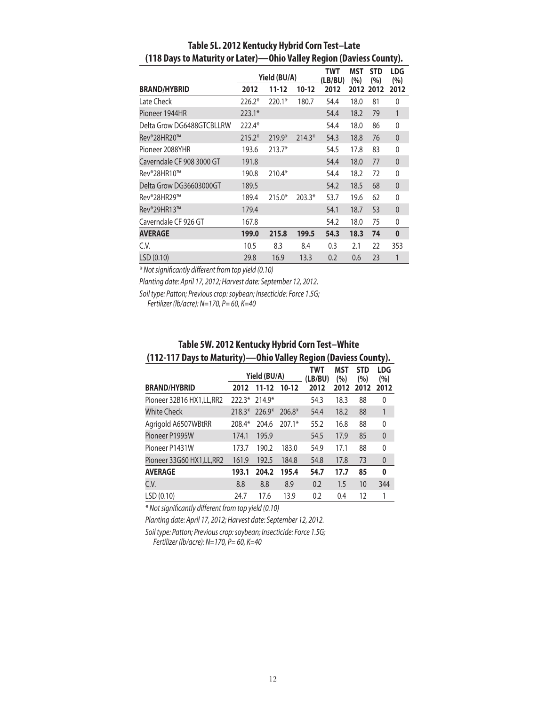|                           |          | Yield (BU/A) |          | TWT<br>(LB/BU) | MST<br>(%) | <b>STD</b><br>(%) | <b>LDG</b><br>(%) |
|---------------------------|----------|--------------|----------|----------------|------------|-------------------|-------------------|
| <b>BRAND/HYBRID</b>       | 2012     | 11-12        | $10-12$  | 2012           | 2012       | 2012              | 2012              |
| Late Check                | $226.2*$ | $220.1*$     | 180.7    | 54.4           | 18.0       | 81                | 0                 |
| Pioneer 1944HR            | $223.1*$ |              |          | 54.4           | 18.2       | 79                | 1                 |
| Delta Grow DG6488GTCBLLRW | 222.4*   |              |          | 54.4           | 18.0       | 86                | 0                 |
| Rev®28HR20™               | $215.2*$ | $219.9*$     | $214.3*$ | 54.3           | 18.8       | 76                | $\boldsymbol{0}$  |
| Pioneer 2088YHR           | 193.6    | $213.7*$     |          | 54.5           | 17.8       | 83                | 0                 |
| Caverndale CF 908 3000 GT | 191.8    |              |          | 54.4           | 18.0       | 77                | $\mathbf{0}$      |
| Rev®28HR10™               | 190.8    | $210.4*$     |          | 54.4           | 18.2       | 72                | 0                 |
| Delta Grow DG36603000GT   | 189.5    |              |          | 54.2           | 18.5       | 68                | $\theta$          |
| Rev®28HR29™               | 189.4    | $215.0*$     | $203.3*$ | 53.7           | 19.6       | 62                | $\mathbf 0$       |
| Rev®29HR13™               | 179.4    |              |          | 54.1           | 18.7       | 53                | $\mathbf{0}$      |
| Caverndale CF 926 GT      | 167.8    |              |          | 54.2           | 18.0       | 75                | 0                 |
| <b>AVERAGE</b>            | 199.0    | 215.8        | 199.5    | 54.3           | 18.3       | 74                | $\bf{0}$          |
| C.V.                      | 10.5     | 8.3          | 8.4      | 0.3            | 2.1        | 22                | 353               |
| LSD (0.10)                | 29.8     | 16.9         | 13.3     | 0.2            | 0.6        | 23                | 1                 |

## **Table 5L. 2012 Kentucky Hybrid Corn Test–Late (118 Days to Maturity or Later)—Ohio Valley Region (Daviess County).**

*\* Not significantly different from top yield (0.10)*

*Planting date: April 17, 2012; Harvest date: September 12, 2012.*

*Soil type: Patton; Previous crop: soybean; Insecticide: Force 1.5G;* 

*Fertilizer (lb/acre): N=170, P= 60, K=40*

|                            |          |              |          | . - -          |            |                   | .,,.              |
|----------------------------|----------|--------------|----------|----------------|------------|-------------------|-------------------|
|                            |          | Yield (BU/A) |          | TWT<br>(LB/BU) | MST<br>(%) | <b>STD</b><br>(%) | <b>LDG</b><br>(%) |
| <b>BRAND/HYBRID</b>        | 2012     | $11 - 12$    | $10-12$  | 2012           | 2012       | 2012              | 2012              |
| Pioneer 32B16 HX1, LL, RR2 | $222.3*$ | $214.9*$     |          | 54.3           | 18.3       | 88                | $\mathbf{0}$      |
| <b>White Check</b>         | $218.3*$ | $226.9*$     | $206.8*$ | 54.4           | 18.2       | 88                | $\mathbf{1}$      |
| Agrigold A6507WBtRR        | 208.4*   | 204.6        | $207.1*$ | 55.2           | 16.8       | 88                | 0                 |
| Pioneer P1995W             | 174.1    | 195.9        |          | 54.5           | 17.9       | 85                | $\mathbf{0}$      |
| Pioneer P1431W             | 173.7    | 190.2        | 183.0    | 54.9           | 17.1       | 88                | $\mathbf{0}$      |
| Pioneer 33G60 HX1, LL, RR2 | 161.9    | 192.5        | 184.8    | 54.8           | 17.8       | 73                | $\mathbf{0}$      |
| <b>AVERAGE</b>             | 193.1    | 204.2        | 195.4    | 54.7           | 17.7       | 85                | 0                 |
| C.V.                       | 8.8      | 8.8          | 8.9      | 0.2            | 1.5        | 10                | 344               |
| LSD(0.10)                  | 24.7     | 17.6         | 13.9     | 0.2            | 0.4        | 12                | 1                 |

## **Table 5W. 2012 Kentucky Hybrid Corn Test–White (112-117 Days to Maturity)—Ohio Valley Region (Daviess County).**

*\* Not significantly different from top yield (0.10)*

*Planting date: April 17, 2012; Harvest date: September 12, 2012.*

*Soil type: Patton; Previous crop: soybean; Insecticide: Force 1.5G; Fertilizer (lb/acre): N=170, P= 60, K=40*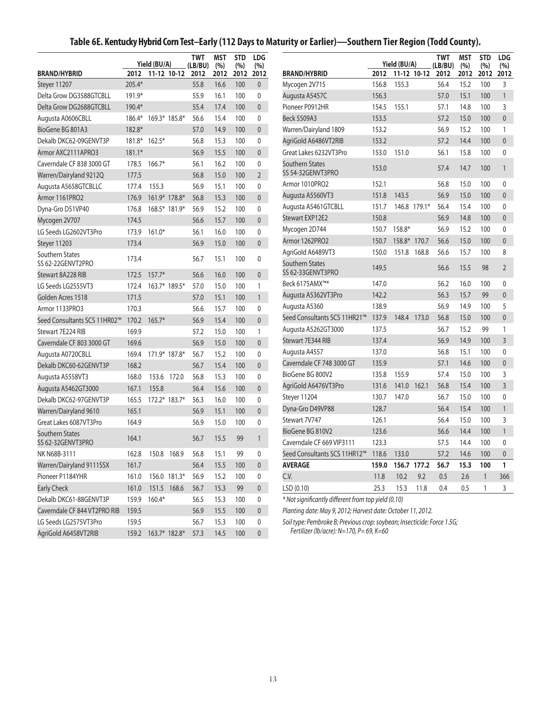# **Table 6E. Kentucky Hybrid Corn Test–Early (112 Days to Maturity or Earlier)—Southern Tier Region (Todd County).**

|                                      |          |                     | <b>TWT</b> | <b>MST</b> | <b>STD</b> | <b>LDG</b>     |                                                                         |       |             |              | <b>TWT</b> | <b>MST</b> | <b>STD</b>   | <b>LDG</b>     |
|--------------------------------------|----------|---------------------|------------|------------|------------|----------------|-------------------------------------------------------------------------|-------|-------------|--------------|------------|------------|--------------|----------------|
|                                      |          | Yield (BU/A)        | (LB/BU)    | (%)        | (%)        | (%)            | Yield (BU/A)<br>(LB/BU)<br>(%)                                          |       |             |              | (%)        | (%)        |              |                |
| <b>BRAND/HYBRID</b>                  | 2012     | 11-12 10-12         | 2012       | 2012       | 2012       | 2012           | <b>BRAND/HYBRID</b>                                                     | 2012  |             | 11-12 10-12  | 2012       | 2012       | 2012         | 2012           |
| Steyer 11207                         | 205.4*   |                     | 55.8       | 16.6       | 100        | $\mathbf{0}$   | Mycogen 2V715                                                           | 156.8 | 155.3       |              | 56.4       | 15.2       | 100          | 3              |
| Delta Grow DG3588GTCBLL              | 191.9*   |                     | 55.9       | 16.1       | 100        | 0              | Augusta A5457C                                                          | 156.3 |             |              | 57.0       | 15.1       | 100          | $\mathbf{1}$   |
| Delta Grow DG2688GTCBLL              | 190.4*   |                     | 55.4       | 17.4       | 100        | $\overline{0}$ | Pioneer P0912HR                                                         | 154.5 | 155.1       |              | 57.1       | 14.8       | 100          | 3              |
| Augusta A0606CBLL                    | 186.4*   | 169.3* 185.8*       | 56.6       | 15.4       | 100        | $\mathbf{0}$   | <b>Beck 5509A3</b>                                                      | 153.5 |             |              | 57.2       | 15.0       | 100          | $\mathbf{0}$   |
| BioGene BG 801A3                     | 182.8*   |                     | 57.0       | 14.9       | 100        | $\overline{0}$ | Warren/Dairyland 1809                                                   | 153.2 |             |              | 56.9       | 15.2       | 100          | $\mathbf{1}$   |
| Dekalb DKC62-09GENVT3P               |          | 181.8* 162.5*       | 56.8       | 15.3       | 100        | $\mathbf{0}$   | AgriGold A6486VT2RIB                                                    | 153.2 |             |              | 57.2       | 14.4       | 100          | $\mathbf{0}$   |
| Armor AXC2111APRO3                   | $181.1*$ |                     | 56.9       | 15.5       | 100        | $\overline{0}$ | Great Lakes 6232VT3Pro                                                  | 153.0 | 151.0       |              | 56.1       | 15.8       | 100          | $\mathbf{0}$   |
| Caverndale CF 838 3000 GT            | 178.5    | $166.7*$            | 56.1       | 16.2       | 100        | 0              | <b>Southern States</b>                                                  | 153.0 |             |              | 57.4       | 14.7       | 100          | $\mathbf{1}$   |
| Warren/Dairyland 9212Q               | 177.5    |                     | 56.8       | 15.0       | 100        | $\overline{2}$ | SS 54-32GENVT3PRO                                                       |       |             |              |            |            |              |                |
| Augusta A5658GTCBLLC                 | 177.4    | 155.3               | 56.9       | 15.1       | 100        | $\mathbf{0}$   | Armor 1010PRO2                                                          | 152.1 |             |              | 56.8       | 15.0       | 100          | $\mathbf{0}$   |
| Armor 1161PRO2                       | 176.9    | 161.9* 178.8*       | 56.8       | 15.3       | 100        | $\overline{0}$ | Augusta A5560VT3                                                        | 151.8 | 143.5       |              | 56.9       | 15.0       | 100          | $\mathbf{0}$   |
| Dyna-Gro D51VP40                     | 176.8    | 168.5* 181.9*       | 56.9       | 15.2       | 100        | 0              | Augusta A5461GTCBLL                                                     | 151.7 |             | 146.8 179.1* | 56.4       | 15.4       | 100          | $\mathbf 0$    |
| Mycogen 2V707                        | 174.5    |                     | 56.6       | 15.7       | 100        | $\overline{0}$ | Stewart EXP12E2                                                         | 150.8 |             |              | 56.9       | 14.8       | 100          | $\mathbf{0}$   |
| LG Seeds LG2602VT3Pro                | 173.9    | $161.0*$            | 56.1       | 16.0       | 100        | $\mathbf{0}$   | Mycogen 2D744                                                           | 150.7 | 158.8*      |              | 56.9       | 15.2       | 100          | $\mathbf 0$    |
| Steyer 11203                         | 173.4    |                     | 56.9       | 15.0       | 100        | $\overline{0}$ | Armor 1262PRO2                                                          | 150.7 | 158.8*      | 170.7        | 56.6       | 15.0       | 100          | $\mathbf{0}$   |
| Southern States<br>SS 62-22GENVT2PRO | 173.4    |                     | 56.7       | 15.1       | 100        | 0              | AgriGold A6489VT3<br>Southern States                                    | 150.0 | 151.8       | 168.8        | 56.6       | 15.7       | 100          | 8              |
| Stewart 8A228 RIB                    | 172.5    | $157.7*$            | 56.6       | 16.0       | 100        | $\overline{0}$ | SS 62-33GENVT3PRO                                                       | 149.5 |             |              | 56.6       | 15.5       | 98           | $\overline{2}$ |
| LG Seeds LG2555VT3                   | 172.4    | 163.7* 189.5*       | 57.0       | 15.0       | 100        | $\mathbf{1}$   | Beck 6175AMX™*                                                          | 147.0 |             |              | 56.2       | 16.0       | 100          | $\mathbf{0}$   |
| Golden Acres 1518                    | 171.5    |                     | 57.0       | 15.1       | 100        | 1              | Augusta A5362VT3Pro                                                     | 142.2 |             |              | 56.3       | 15.7       | 99           | $\mathbf{0}$   |
| Armor 1133PRO3                       | 170.3    |                     | 56.6       | 15.7       | 100        | $\mathbf{0}$   | Augusta A5360                                                           | 138.9 |             |              | 56.9       | 14.9       | 100          | 5              |
| Seed Consultants SCS 11HR02™         | 170.2    | $165.7*$            | 56.9       | 15.4       | 100        | $\overline{0}$ | Seed Consultants SCS 11HR21™                                            | 137.9 | 148.4       | 173.0        | 56.8       | 15.0       | 100          | $\mathbf{0}$   |
| Stewart 7E224 RIB                    | 169.9    |                     | 57.2       | 15.0       | 100        | $\mathbf{1}$   | Augusta A5262GT3000                                                     | 137.5 |             |              | 56.7       | 15.2       | 99           | 1              |
| Caverndale CF 803 3000 GT            | 169.6    |                     | 56.9       | 15.0       | 100        | $\overline{0}$ | Stewart 7E344 RIB                                                       | 137.4 |             |              | 56.9       | 14.9       | 100          | 3              |
| Augusta A0720CBLL                    | 169.4    | 171.9* 187.8*       | 56.7       | 15.2       | 100        | 0              | Augusta A4557                                                           | 137.0 |             |              | 56.8       | 15.1       | 100          | $\mathbf 0$    |
| Dekalb DKC60-62GENVT3P               | 168.2    |                     | 56.7       | 15.4       | 100        | $\overline{0}$ | Caverndale CF 748 3000 GT                                               | 135.9 |             |              | 57.1       | 14.6       | 100          | $\mathbf{0}$   |
| Augusta A5558VT3                     | 168.0    | 153.6 172.0         | 56.8       | 15.3       | 100        | 0              | BioGene BG 800V2                                                        | 135.8 | 155.9       |              | 57.4       | 15.0       | 100          | 3              |
| Augusta A5462GT3000                  | 167.1    | 155.8               | 56.4       | 15.6       | 100        | $\overline{0}$ | AgriGold A6476VT3Pro                                                    | 131.6 | 141.0       | 162.1        | 56.8       | 15.4       | 100          | 3              |
| Dekalb DKC62-97GENVT3P               | 165.5    | 172.2* 183.7*       | 56.3       | 16.0       | 100        | $\mathbf{0}$   | Steyer 11204                                                            | 130.7 | 147.0       |              | 56.7       | 15.0       | 100          | $\mathbf 0$    |
| Warren/Dairyland 9610                | 165.1    |                     | 56.9       | 15.1       | 100        | $\overline{0}$ | Dyna-Gro D49VP88                                                        | 128.7 |             |              | 56.4       | 15.4       | 100          | $\mathbf{1}$   |
| Great Lakes 6087VT3Pro               | 164.9    |                     | 56.9       | 15.0       | 100        | $\mathbf{0}$   | Stewart 7V747                                                           | 126.1 |             |              | 56.4       | 15.0       | 100          | 3              |
| Southern States                      |          |                     |            |            |            |                | BioGene BG 810V2                                                        | 123.6 |             |              | 56.6       | 14.4       | 100          | $\mathbf{1}$   |
| SS 62-32GENVT3PRO                    | 164.1    |                     | 56.7       | 15.5       | 99         | 1              | Caverndale CF 669 VIP3111                                               | 123.3 |             |              | 57.5       | 14.4       | 100          | 0              |
| NK N68B-3111                         | 162.8    | 150.8 168.9         | 56.8       | 15.1       | 99         | 0              | Seed Consultants SCS 11HR12™ 118.6                                      |       | 133.0       |              | 57.2       | 14.6       | 100          | 0              |
| Warren/Dairyland 9111SSX             | 161.7    |                     | 56.4       | 15.5       | 100        | $\mathbf 0$    | <b>AVERAGE</b>                                                          | 159.0 | 156.7 177.2 |              | 56.7       | 15.3       | 100          | 1              |
| Pioneer P1184YHR                     | 161.0    | 156.0 181.3*        | 56.9       | 15.2       | 100        | 0              | C.V.                                                                    | 11.8  | 10.2        | 9.2          | 0.5        | 2.6        | $\mathbf{1}$ | 366            |
| <b>Early Check</b>                   | 161.0    | 151.5 168.6         | 56.7       | 15.3       | 99         | $\mathbf 0$    | LSD (0.10)                                                              | 25.3  | 15.3        | 11.8         | 0.4        | 0.5        | 1            | 3              |
| Dekalb DKC61-88GENVT3P               |          | 159.9 160.4*        | 56.5       | 15.3       | 100        | 0              | * Not significantly different from top yield (0.10)                     |       |             |              |            |            |              |                |
| Caverndale CF 844 VT2PRO RIB         | 159.5    |                     | 56.9       | 15.5       | 100        | $\mathbf{0}$   | Planting date: May 9, 2012; Harvest date: October 11, 2012.             |       |             |              |            |            |              |                |
| LG Seeds LG2575VT3Pro                | 159.5    |                     | 56.7       | 15.3       | 100        | 0              | Soil type: Pembroke B; Previous crop: soybean; Insecticide: Force 1.5G; |       |             |              |            |            |              |                |
| AgriGold A6458VT2RIB                 |          | 159.2 163.7* 182.8* | 57.3       | 14.5       | 100        | $\pmb{0}$      | Fertilizer (lb/acre): N=170, P=69, K=60                                 |       |             |              |            |            |              |                |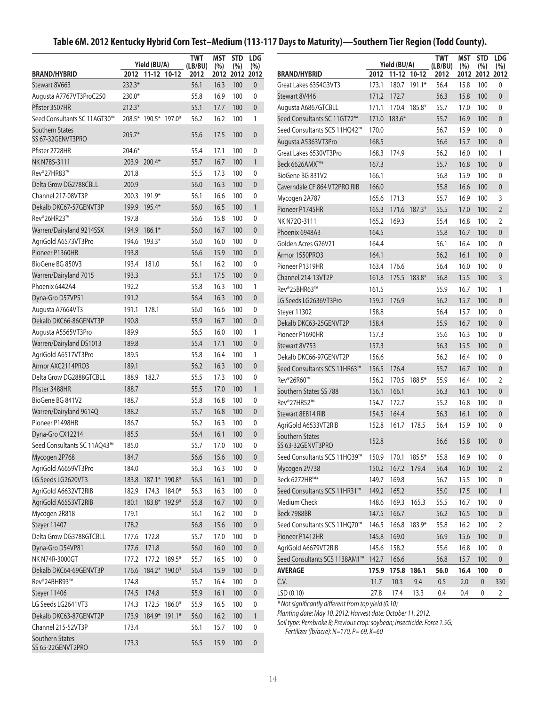# **Table 6M. 2012 Kentucky Hybrid Corn Test–Medium (113-117 Days to Maturity)—Southern Tier Region (Todd County).**

|                                      |          |                                  |               | <b>TWT</b>      | MST         | <b>STD</b> | <b>LDG</b>       | <b>TWT</b><br><b>MST</b>                                                                                           |       |                   |                                                     | <b>STD</b> | <b>LDG</b>   |              |                  |
|--------------------------------------|----------|----------------------------------|---------------|-----------------|-------------|------------|------------------|--------------------------------------------------------------------------------------------------------------------|-------|-------------------|-----------------------------------------------------|------------|--------------|--------------|------------------|
| <b>BRAND/HYBRID</b>                  |          | Yield (BU/A)<br>2012 11-12 10-12 |               | (LB/BU)<br>2012 | (%)<br>2012 | (%)        | (%)<br>2012 2012 | <b>BRAND/HYBRID</b>                                                                                                |       |                   | Yield (BU/A)<br>(LB/BU)<br>2012 11-12 10-12<br>2012 |            | (%)<br>2012  | (%)          | (%)<br>2012 2012 |
| Stewart 8V663                        | 232.3*   |                                  |               | 56.1            | 16.3        | 100        | $\mathbf{0}$     | Great Lakes 6354G3VT3                                                                                              | 173.1 |                   | 180.7 191.1*                                        | 56.4       | 15.8         | 100          | 0                |
| Augusta A7767VT3ProC250              | 230.0*   |                                  |               | 55.8            | 16.9        | 100        | 0                | Stewart 8V446<br>171.2 172.7<br>56.3                                                                               |       |                   | 15.8                                                | 100        | $\mathbf{0}$ |              |                  |
| Pfister 3507HR                       | $212.3*$ |                                  |               | 55.1            | 17.7        | 100        | $\mathbf{0}$     | Augusta A6867GTCBLL                                                                                                | 171.1 |                   | 170.4 185.8*                                        | 55.7       | 17.0         | 100          | 0                |
| Seed Consultants SC 11AGT30™         |          | 208.5* 190.5* 197.0*             |               | 56.2            | 16.2        | 100        | $\mathbf{1}$     | Seed Consultants SC 11GT72™                                                                                        |       | 171.0 183.6*      |                                                     | 55.7       | 16.9         | 100          | $\mathbf{0}$     |
| <b>Southern States</b>               | 205.7*   |                                  |               | 55.6            | 17.5        | 100        | $\mathbf{0}$     | Seed Consultants SCS 11HQ42™                                                                                       | 170.0 |                   |                                                     | 56.7       | 15.9         | 100          | 0                |
| SS 67-32GENVT3PRO                    |          |                                  |               |                 |             |            |                  | Augusta A5363VT3Pro                                                                                                | 168.5 |                   |                                                     | 56.6       | 15.7         | 100          | $\mathbf{0}$     |
| Pfister 2728HR                       | 204.6*   |                                  |               | 55.4            | 17.1        | 100        | 0                | Great Lakes 6530VT3Pro                                                                                             |       | 168.3 174.9       |                                                     | 56.2       | 16.0         | 100          | 1                |
| NK N78S-3111                         |          | 203.9 200.4*                     |               | 55.7            | 16.7        | 100        | $\mathbf{1}$     | Beck 6626AMX™*                                                                                                     | 167.3 |                   |                                                     | 55.7       | 16.8         | 100          | $\mathbf{0}$     |
| Rev®27HR83™                          | 201.8    |                                  |               | 55.5            | 17.3        | 100        | 0                | BioGene BG 831V2                                                                                                   | 166.1 |                   |                                                     | 56.8       | 15.9         | 100          | 0                |
| Delta Grow DG2788CBLL                | 200.9    |                                  |               | 56.0            | 16.3        | 100        | $\mathbf{0}$     | Caverndale CF 864 VT2PRO RIB                                                                                       | 166.0 |                   |                                                     | 55.8       | 16.6         | 100          | $\mathbf{0}$     |
| Channel 217-08VT3P                   |          | 200.3 191.9*                     |               | 56.1            | 16.6        | 100        | 0                | Mycogen 2A787                                                                                                      | 165.6 | 171.3             |                                                     | 55.7       | 16.9         | 100          | 3                |
| Dekalb DKC67-57GENVT3P               | 199.9    | 195.4*                           |               | 56.0            | 16.5        | 100        | $\mathbf{1}$     | Pioneer P1745HR                                                                                                    | 165.3 |                   | 171.6 187.3*                                        | 55.5       | 17.0         | 100          | $\overline{2}$   |
| Rev®26HR23™                          | 197.8    |                                  |               | 56.6            | 15.8        | 100        | 0                | NK N72Q-3111                                                                                                       | 165.2 | 169.3             |                                                     | 55.4       | 16.8         | 100          | $\overline{2}$   |
| Warren/Dairyland 9214SSX             | 194.9    | $186.1*$                         |               | 56.0            | 16.7        | 100        | $\mathbf{0}$     | Phoenix 6948A3                                                                                                     | 164.5 |                   |                                                     | 55.8       | 16.7         | 100          | $\mathbf{0}$     |
| AgriGold A6573VT3Pro                 | 194.6    | 193.3*                           |               | 56.0            | 16.0        | 100        | 0                | Golden Acres G26V21                                                                                                | 164.4 |                   |                                                     | 56.1       | 16.4         | 100          | $\mathbf 0$      |
| Pioneer P1360HR                      | 193.8    |                                  |               | 56.6            | 15.9        | 100        | $\mathbf{0}$     | Armor 1550PRO3                                                                                                     | 164.1 |                   |                                                     | 56.2       | 16.1         | 100          | $\mathbf{0}$     |
| BioGene BG 850V3                     | 193.4    | 181.0                            |               | 56.1            | 16.2        | 100        | 0                | Pioneer P1319HR                                                                                                    | 163.4 | 176.6             |                                                     | 56.4       | 16.0         | 100          | 0                |
| Warren/Dairyland 7015                | 193.3    |                                  |               | 55.1            | 17.5        | 100        | $\mathbf{0}$     | Channel 214-13VT2P                                                                                                 | 161.8 |                   | 175.5 183.8*                                        | 56.8       | 15.5         | 100          | $\overline{3}$   |
| Phoenix 6442A4                       | 192.2    |                                  |               | 55.8            | 16.3        | 100        | $\mathbf{1}$     | Rev®25BHR63™                                                                                                       | 161.5 |                   |                                                     | 55.9       | 16.7         | 100          | $\mathbf{1}$     |
| Dyna-Gro D57VP51                     | 191.2    |                                  |               | 56.4            | 16.3        | 100        | $\mathbf{0}$     | LG Seeds LG2636VT3Pro                                                                                              |       | 159.2 176.9       |                                                     | 56.2       | 15.7         | 100          | $\mathbf{0}$     |
| Augusta A7664VT3                     | 191.1    | 178.1                            |               | 56.0            | 16.6        | 100        | 0                | Steyer 11302                                                                                                       | 158.8 |                   |                                                     | 56.4       | 15.7         | 100          | 0                |
| Dekalb DKC66-86GENVT3P               | 190.8    |                                  |               | 55.9            | 16.7        | 100        | $\mathbf{0}$     | Dekalb DKC63-25GENVT2P                                                                                             | 158.4 |                   | 55.9                                                | 16.7       | 100          | $\mathbf{0}$ |                  |
| Augusta A5565VT3Pro                  | 189.9    |                                  |               | 56.5            | 16.0        | 100        | $\mathbf{1}$     | Pioneer P1690HR                                                                                                    | 157.3 |                   |                                                     | 55.6       | 16.3         | 100          | 0                |
| Warren/Dairyland DS1013              | 189.8    |                                  |               | 55.4            | 17.1        | 100        | $\mathbf{0}$     | Stewart 8V753                                                                                                      | 157.3 |                   | 56.3                                                | 15.5       | 100          | $\mathbf{0}$ |                  |
| AgriGold A6517VT3Pro                 | 189.5    |                                  |               | 55.8            | 16.4        | 100        | $\mathbf{1}$     | Dekalb DKC66-97GENVT2P                                                                                             | 156.6 |                   |                                                     | 56.2       | 16.4         | 100          | 0                |
| Armor AXC2114PRO3                    | 189.1    |                                  |               | 56.2            | 16.3        | 100        | $\overline{0}$   | Seed Consultants SCS 11HR63™                                                                                       | 156.5 | 176.4             |                                                     | 55.7       | 16.7         | 100          | $\mathbf{0}$     |
| Delta Grow DG2888GTCBLL              | 188.9    | 182.7                            |               | 55.5            | 17.3        | 100        | 0                | Rev®26R60™                                                                                                         | 156.2 |                   | 170.5 188.5*                                        | 55.9       | 16.4         | 100          | $\overline{2}$   |
| Pfister 3488HR                       | 188.7    |                                  |               | 55.5            | 17.0        | 100        | $\mathbf{1}$     | Southern States SS 788                                                                                             | 156.1 | 166.1             |                                                     | 56.3       | 16.1         | 100          | $\mathbf{0}$     |
| BioGene BG 841V2                     | 188.7    |                                  |               | 55.8            | 16.8        | 100        | 0                | Rev®27HR52™                                                                                                        | 154.7 | 172.7             |                                                     | 55.2       | 16.8         | 100          | 0                |
| Warren/Dairyland 9614Q               | 188.2    |                                  |               | 55.7            | 16.8        | 100        | $\mathbf{0}$     | Stewart 8E814 RIB                                                                                                  | 154.5 | 164.4             |                                                     | 56.3       | 16.1         | 100          | $\mathbf{0}$     |
| Pioneer P1498HR                      | 186.7    |                                  |               | 56.2            | 16.3        | 100        | 0                | AgriGold A6533VT2RIB                                                                                               | 152.8 | 161.7 178.5       |                                                     | 56.4       | 15.9         | 100          | 0                |
| Dyna-Gro CX12214                     | 185.5    |                                  |               | 56.4            | 16.1        | 100        | $\mathbf{0}$     | Southern States                                                                                                    |       |                   |                                                     |            |              |              |                  |
| Seed Consultants SC 11AQ43™          | 185.0    |                                  |               | 55.7            | 17.0        | 100        | $\mathbf{0}$     | SS 63-32GENVT3PRO                                                                                                  | 152.8 |                   |                                                     | 56.6       | 15.8         | 100          | $\mathbf{0}$     |
| Mycogen 2P768                        | 184.7    |                                  |               | 56.6            | 15.6        | 100        | $\overline{0}$   | Seed Consultants SCS 11HQ39™                                                                                       | 150.9 | 170.1 185.5*      |                                                     | 55.8       | 16.9         | 100          | 0                |
| AgriGold A6659VT3Pro                 | 184.0    |                                  |               | 56.3            | 16.3        | 100        | 0                | Mycogen 2V738                                                                                                      |       | 150.2 167.2 179.4 |                                                     | 56.4       | 16.0         | 100          | $\overline{2}$   |
| LG Seeds LG2620VT3                   | 183.8    | 187.1* 190.8*                    |               | 56.5            | 16.1        | 100        | $\overline{0}$   | Beck 6272HR™*                                                                                                      | 149.7 | 169.8             |                                                     | 56.7       | 15.5         | 100          | 0                |
| AgriGold A6632VT2RIB                 | 182.9    |                                  | 174.3 184.0*  | 56.3            | 16.3        | 100        | 0                | Seed Consultants SCS 11HR31™                                                                                       |       | 149.2 165.2       |                                                     | 55.0       | 17.5         | 100          | $\mathbf{1}$     |
| AgriGold A6553VT2RIB                 | 180.1    |                                  | 183.8* 192.9* | 55.8            | 16.7        | 100        | $\mathbf{0}$     | Medium Check                                                                                                       | 148.6 |                   | 169.3 165.3                                         | 55.5       | 16.7         | 100          | 0                |
| Mycogen 2R818                        | 179.1    |                                  |               | 56.1            | 16.2        | 100        | 0                | Beck 7988BR                                                                                                        | 147.5 | 166.7             |                                                     | 56.2       | 16.5         | 100          | $\mathbf 0$      |
| Steyer 11407                         | 178.2    |                                  |               | 56.8            | 15.6        | 100        | $\mathbf 0$      | Seed Consultants SCS 11HQ70™                                                                                       | 146.5 |                   | 166.8 183.9*                                        | 55.8       | 16.2         | 100          | 2                |
| Delta Grow DG3788GTCBLL              | 177.6    | 172.8                            |               | 55.7            | 17.0        | 100        | 0                | Pioneer P1412HR                                                                                                    | 145.8 | 169.0             |                                                     | 56.9       | 15.6         | 100          | 0                |
| Dyna-Gro D54VP81                     |          | 177.6 171.8                      |               | 56.0            | 16.0        | 100        | $\overline{0}$   | AgriGold A6679VT2RIB<br>145.6 158.2<br>55.6                                                                        |       | 16.8              | 100                                                 | 0          |              |              |                  |
| NK N74R-3000GT                       |          | 177.2 177.2 189.5*               |               | 55.7            | 16.5        | 100        | 0                | Seed Consultants SCS 1138AM1™                                                                                      | 142.7 | 166.6             |                                                     | 56.8       | 15.7         | 100          | 0                |
| Dekalb DKC64-69GENVT3P               | 176.6    | 184.2* 190.0*                    |               | 56.4            | 15.9        | 100        | $\overline{0}$   | <b>AVERAGE</b>                                                                                                     |       | 175.9 175.8 186.1 |                                                     | 56.0       | 16.4         | 100          | 0                |
| Rev®24BHR93™                         | 174.8    |                                  |               | 55.7            | 16.4        | 100        | 0                | C.V.                                                                                                               | 11.7  | 10.3              | 9.4                                                 | 0.5        | 2.0          | $\mathbf 0$  | 330              |
| Steyer 11406                         | 174.5    | 174.8                            |               | 55.9            | 16.1        | 100        | $\overline{0}$   | LSD (0.10)                                                                                                         | 27.8  | 17.4              | 13.3                                                | 0.4        | 0.4          | 0            | $\overline{2}$   |
| LG Seeds LG2641VT3                   | 174.3    |                                  | 172.5 186.0*  | 55.9            | 16.5        | 100        | 0                | * Not significantly different from top yield (0.10)                                                                |       |                   |                                                     |            |              |              |                  |
| Dekalb DKC63-87GENVT2P               |          | 173.9 184.9* 191.1*              |               | 56.0            | 16.2        | 100        | $\mathbf{1}$     | Planting date: May 10, 2012; Harvest date: October 11, 2012.                                                       |       |                   |                                                     |            |              |              |                  |
| Channel 215-52VT3P                   | 173.4    |                                  |               | 56.1            | 15.7        | 100        | 0                | Soil type: Pembroke B; Previous crop: soybean; Insecticide: Force 1.5G;<br>Fertilizer (lb/acre): N=170, P=69, K=60 |       |                   |                                                     |            |              |              |                  |
| Southern States<br>SS 65-22GENVT2PRO | 173.3    |                                  |               | 56.5            | 15.9        | 100        | $\mathbf 0$      |                                                                                                                    |       |                   |                                                     |            |              |              |                  |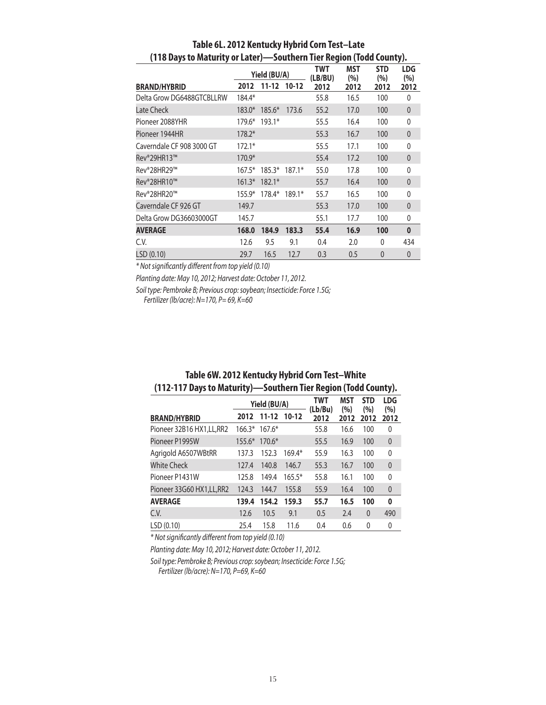|                           |          | Yield (BU/A) |          | TWT<br>(LB/BU) | <b>MST</b><br>(%) | <b>STD</b><br>(%) | <b>LDG</b><br>(%) |
|---------------------------|----------|--------------|----------|----------------|-------------------|-------------------|-------------------|
| <b>BRAND/HYBRID</b>       | 2012     | 11-12        | $10-12$  | 2012           | 2012              | 2012              | 2012              |
| Delta Grow DG6488GTCBLLRW | 184.4*   |              |          | 55.8           | 16.5              | 100               | 0                 |
| Late Check                | $183.0*$ | $185.6*$     | 173.6    | 55.2           | 17.0              | 100               | $\theta$          |
| Pioneer 2088YHR           | 179.6*   | $193.1*$     |          | 55.5           | 16.4              | 100               | $\mathbf{0}$      |
| Pioneer 1944HR            | $178.2*$ |              |          | 55.3           | 16.7              | 100               | $\mathbf{0}$      |
| Caverndale CF 908 3000 GT | $172.1*$ |              |          | 55.5           | 17.1              | 100               | 0                 |
| Rev®29HR13™               | 170.9*   |              |          | 55.4           | 17.2              | 100               | $\mathbf{0}$      |
| Rev®28HR29™               | $167.5*$ | $185.3*$     | $187.1*$ | 55.0           | 17.8              | 100               | $\mathbf{0}$      |
| Rev®28HR10™               | $161.3*$ | $182.1*$     |          | 55.7           | 16.4              | 100               | $\mathbf{0}$      |
| Rev®28HR20™               | $155.9*$ | 178.4*       | $189.1*$ | 55.7           | 16.5              | 100               | $\mathbf{0}$      |
| Caverndale CF 926 GT      | 149.7    |              |          | 55.3           | 17.0              | 100               | $\theta$          |
| Delta Grow DG36603000GT   | 145.7    |              |          | 55.1           | 17.7              | 100               | 0                 |
| <b>AVERAGE</b>            | 168.0    | 184.9        | 183.3    | 55.4           | 16.9              | 100               | $\bf{0}$          |
| C.V.                      | 12.6     | 9.5          | 9.1      | 0.4            | 2.0               | $\Omega$          | 434               |
| LSD (0.10)                | 29.7     | 16.5         | 12.7     | 0.3            | 0.5               | $\mathbf{0}$      | $\mathbf{0}$      |

## **Table 6L. 2012 Kentucky Hybrid Corn Test–Late (118 Days to Maturity or Later)—Southern Tier Region (Todd County).**

*\* Not significantly different from top yield (0.10)*

*Planting date: May 10, 2012; Harvest date: October 11, 2012.*

*Soil type: Pembroke B; Previous crop: soybean; Insecticide: Force 1.5G;* 

*Fertilizer (lb/acre): N=170, P= 69, K=60*

| (112-117 Days to Maturity)—Southern Her Region (1000 County). |          |                |          |                |            |                   |                   |  |  |  |  |
|---------------------------------------------------------------|----------|----------------|----------|----------------|------------|-------------------|-------------------|--|--|--|--|
|                                                               |          | Yield (BU/A)   |          | TWT<br>(Lb/Bu) | MST<br>(%) | <b>STD</b><br>(%) | <b>LDG</b><br>(%) |  |  |  |  |
| <b>BRAND/HYBRID</b>                                           | 2012     | $11 - 12$      | $10-12$  | 2012           | 2012       | 2012              | 2012              |  |  |  |  |
| Pioneer 32B16 HX1.LL.RR2                                      |          | $166.3*167.6*$ |          | 55.8           | 16.6       | 100               | 0                 |  |  |  |  |
| Pioneer P1995W                                                | $155.6*$ | $170.6*$       |          | 55.5           | 16.9       | 100               | $\mathbf{0}$      |  |  |  |  |
| Agrigold A6507WBtRR                                           | 137.3    | 152.3          | $169.4*$ | 55.9           | 16.3       | 100               | 0                 |  |  |  |  |
| <b>White Check</b>                                            | 127.4    | 140.8          | 146.7    | 55.3           | 16.7       | 100               | $\mathbf{0}$      |  |  |  |  |
| Pioneer P1431W                                                | 125.8    | 149.4          | $165.5*$ | 55.8           | 16.1       | 100               | 0                 |  |  |  |  |
| Pioneer 33G60 HX1, LL, RR2                                    | 124.3    | 144.7          | 155.8    | 55.9           | 16.4       | 100               | $\mathbf 0$       |  |  |  |  |
| <b>AVERAGE</b>                                                | 139.4    | 154.2          | 159.3    | 55.7           | 16.5       | 100               | 0                 |  |  |  |  |
| C.V.                                                          | 12.6     | 10.5           | 9.1      | 0.5            | 2.4        | $\theta$          | 490               |  |  |  |  |
| LSD(0.10)                                                     | 25.4     | 15.8           | 11.6     | 0.4            | 0.6        | 0                 | 0                 |  |  |  |  |

## **Table 6W. 2012 Kentucky Hybrid Corn Test–White (112-117 Days to Maturity)—Southern Tier Region (Todd County).**

*\* Not significantly different from top yield (0.10)*

*Planting date: May 10, 2012; Harvest date: October 11, 2012.*

*Soil type: Pembroke B; Previous crop: soybean; Insecticide: Force 1.5G; Fertilizer (lb/acre): N=170, P=69, K=60*